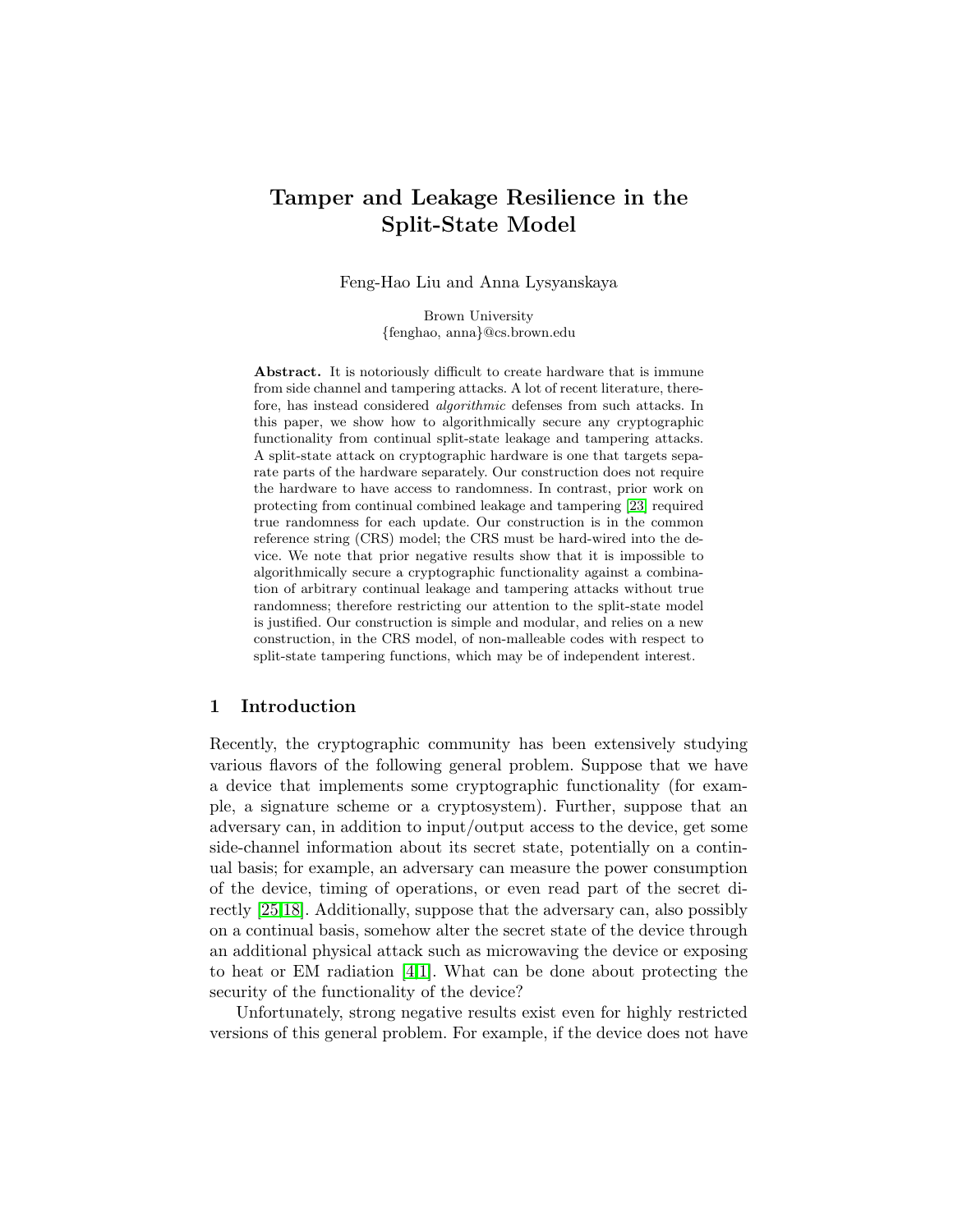# Tamper and Leakage Resilience in the Split-State Model

Feng-Hao Liu and Anna Lysyanskaya

Brown University {fenghao, anna}@cs.brown.edu

Abstract. It is notoriously difficult to create hardware that is immune from side channel and tampering attacks. A lot of recent literature, therefore, has instead considered algorithmic defenses from such attacks. In this paper, we show how to algorithmically secure any cryptographic functionality from continual split-state leakage and tampering attacks. A split-state attack on cryptographic hardware is one that targets separate parts of the hardware separately. Our construction does not require the hardware to have access to randomness. In contrast, prior work on protecting from continual combined leakage and tampering [\[23\]](#page-17-0) required true randomness for each update. Our construction is in the common reference string (CRS) model; the CRS must be hard-wired into the device. We note that prior negative results show that it is impossible to algorithmically secure a cryptographic functionality against a combination of arbitrary continual leakage and tampering attacks without true randomness; therefore restricting our attention to the split-state model is justified. Our construction is simple and modular, and relies on a new construction, in the CRS model, of non-malleable codes with respect to split-state tampering functions, which may be of independent interest.

#### 1 Introduction

Recently, the cryptographic community has been extensively studying various flavors of the following general problem. Suppose that we have a device that implements some cryptographic functionality (for example, a signature scheme or a cryptosystem). Further, suppose that an adversary can, in addition to input/output access to the device, get some side-channel information about its secret state, potentially on a continual basis; for example, an adversary can measure the power consumption of the device, timing of operations, or even read part of the secret directly [\[25,](#page-17-1)[18\]](#page-17-2). Additionally, suppose that the adversary can, also possibly on a continual basis, somehow alter the secret state of the device through an additional physical attack such as microwaving the device or exposing to heat or EM radiation [\[4](#page-16-0)[,1\]](#page-16-1). What can be done about protecting the security of the functionality of the device?

Unfortunately, strong negative results exist even for highly restricted versions of this general problem. For example, if the device does not have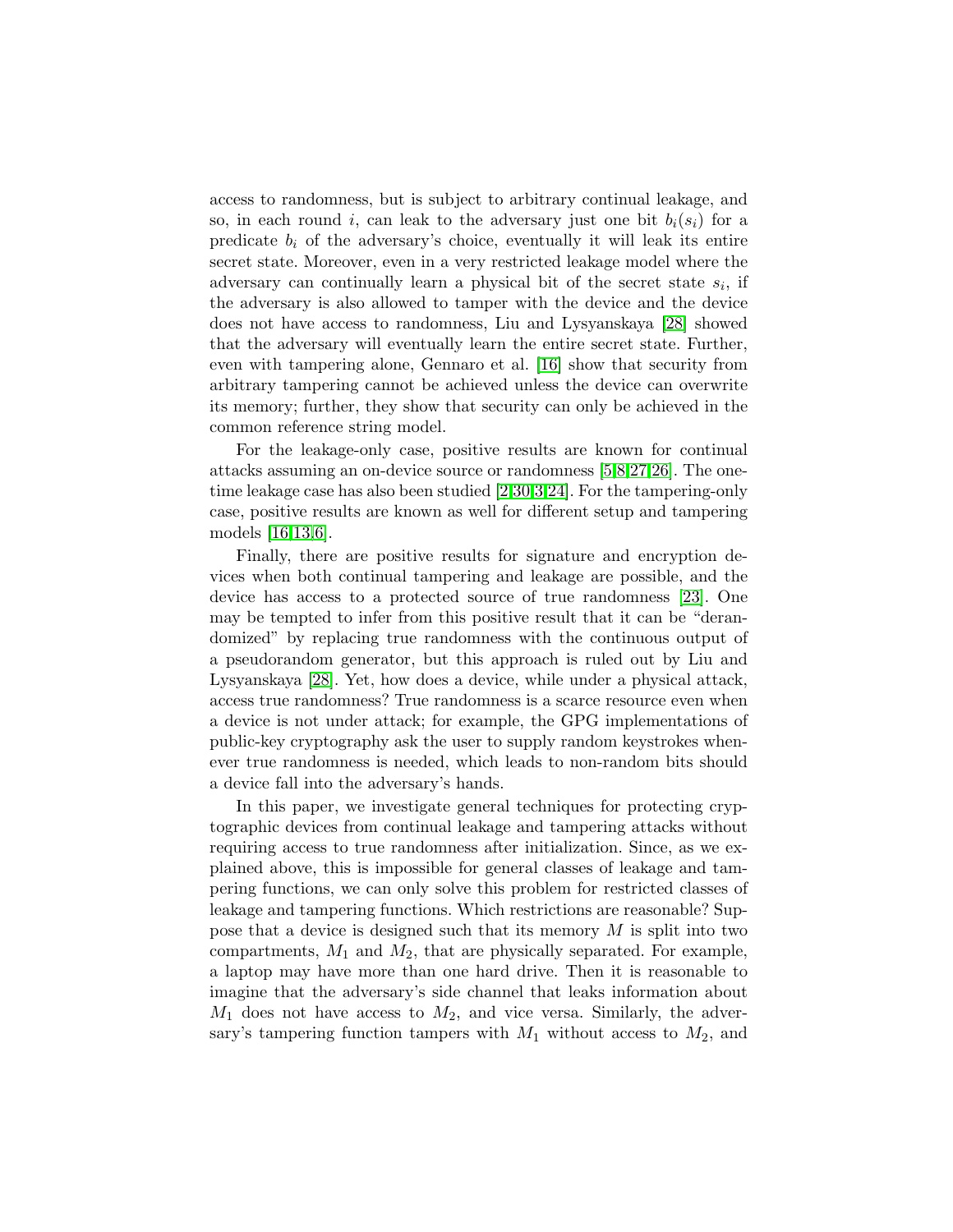access to randomness, but is subject to arbitrary continual leakage, and so, in each round i, can leak to the adversary just one bit  $b_i(s_i)$  for a predicate  $b_i$  of the adversary's choice, eventually it will leak its entire secret state. Moreover, even in a very restricted leakage model where the adversary can continually learn a physical bit of the secret state  $s_i$ , if the adversary is also allowed to tamper with the device and the device does not have access to randomness, Liu and Lysyanskaya [\[28\]](#page-17-3) showed that the adversary will eventually learn the entire secret state. Further, even with tampering alone, Gennaro et al. [\[16\]](#page-17-4) show that security from arbitrary tampering cannot be achieved unless the device can overwrite its memory; further, they show that security can only be achieved in the common reference string model.

For the leakage-only case, positive results are known for continual attacks assuming an on-device source or randomness [\[5](#page-16-2)[,8,](#page-16-3)[27,](#page-17-5)[26\]](#page-17-6). The onetime leakage case has also been studied [\[2,](#page-16-4)[30,](#page-17-7)[3,](#page-16-5)[24\]](#page-17-8). For the tampering-only case, positive results are known as well for different setup and tampering models [\[16](#page-17-4)[,13](#page-17-9)[,6\]](#page-16-6).

Finally, there are positive results for signature and encryption devices when both continual tampering and leakage are possible, and the device has access to a protected source of true randomness [\[23\]](#page-17-0). One may be tempted to infer from this positive result that it can be "derandomized" by replacing true randomness with the continuous output of a pseudorandom generator, but this approach is ruled out by Liu and Lysyanskaya [\[28\]](#page-17-3). Yet, how does a device, while under a physical attack, access true randomness? True randomness is a scarce resource even when a device is not under attack; for example, the GPG implementations of public-key cryptography ask the user to supply random keystrokes whenever true randomness is needed, which leads to non-random bits should a device fall into the adversary's hands.

In this paper, we investigate general techniques for protecting cryptographic devices from continual leakage and tampering attacks without requiring access to true randomness after initialization. Since, as we explained above, this is impossible for general classes of leakage and tampering functions, we can only solve this problem for restricted classes of leakage and tampering functions. Which restrictions are reasonable? Suppose that a device is designed such that its memory  $M$  is split into two compartments,  $M_1$  and  $M_2$ , that are physically separated. For example, a laptop may have more than one hard drive. Then it is reasonable to imagine that the adversary's side channel that leaks information about  $M_1$  does not have access to  $M_2$ , and vice versa. Similarly, the adversary's tampering function tampers with  $M_1$  without access to  $M_2$ , and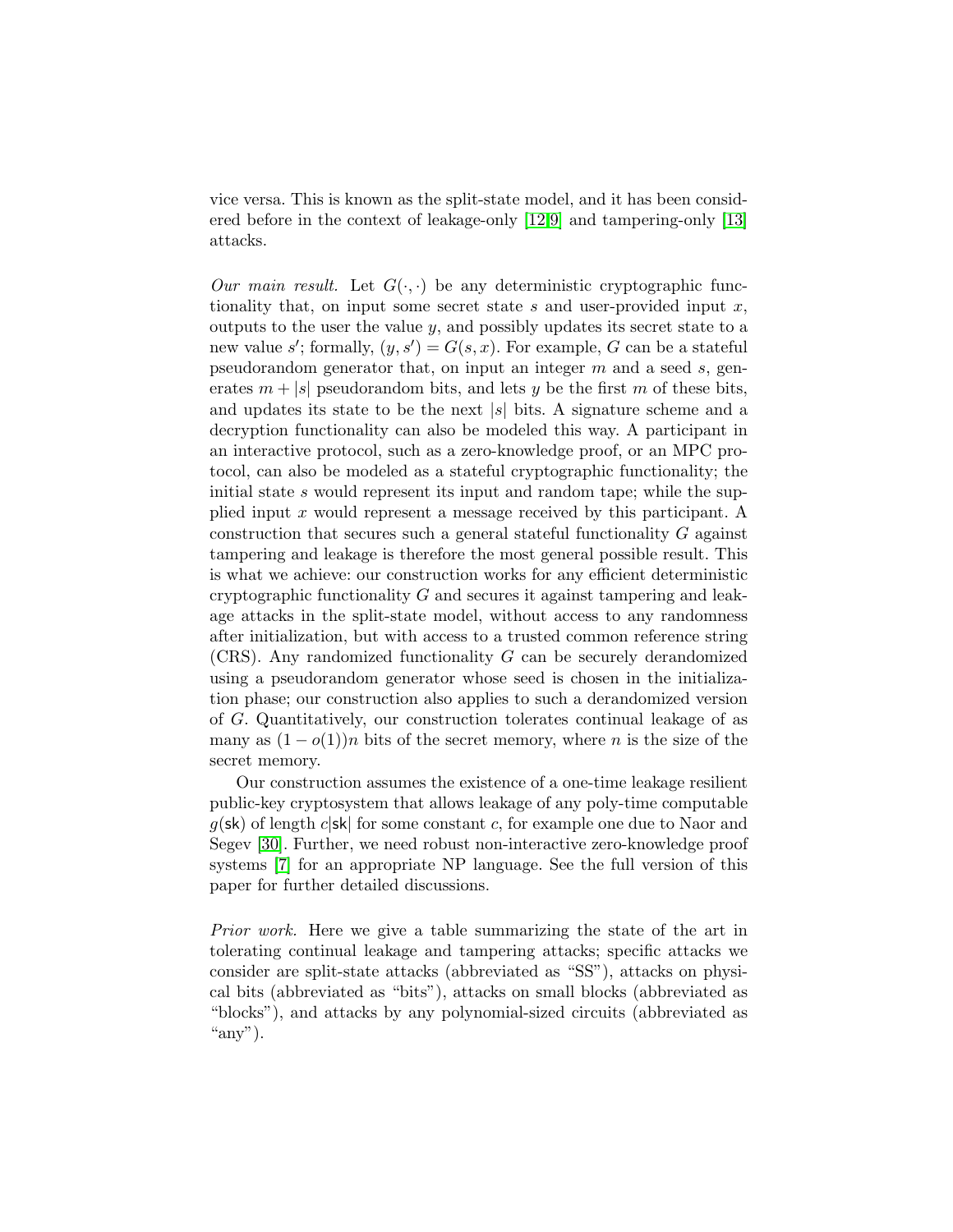vice versa. This is known as the split-state model, and it has been considered before in the context of leakage-only [\[12,](#page-16-7)[9\]](#page-16-8) and tampering-only [\[13\]](#page-17-9) attacks.

Our main result. Let  $G(\cdot, \cdot)$  be any deterministic cryptographic functionality that, on input some secret state  $s$  and user-provided input  $x$ , outputs to the user the value  $y$ , and possibly updates its secret state to a new value s'; formally,  $(y, s') = G(s, x)$ . For example, G can be a stateful pseudorandom generator that, on input an integer  $m$  and a seed  $s$ , generates  $m + |s|$  pseudorandom bits, and lets y be the first m of these bits, and updates its state to be the next  $|s|$  bits. A signature scheme and a decryption functionality can also be modeled this way. A participant in an interactive protocol, such as a zero-knowledge proof, or an MPC protocol, can also be modeled as a stateful cryptographic functionality; the initial state s would represent its input and random tape; while the supplied input x would represent a message received by this participant. A construction that secures such a general stateful functionality G against tampering and leakage is therefore the most general possible result. This is what we achieve: our construction works for any efficient deterministic cryptographic functionality  $G$  and secures it against tampering and leakage attacks in the split-state model, without access to any randomness after initialization, but with access to a trusted common reference string (CRS). Any randomized functionality G can be securely derandomized using a pseudorandom generator whose seed is chosen in the initialization phase; our construction also applies to such a derandomized version of G. Quantitatively, our construction tolerates continual leakage of as many as  $(1 - o(1))n$  bits of the secret memory, where n is the size of the secret memory.

Our construction assumes the existence of a one-time leakage resilient public-key cryptosystem that allows leakage of any poly-time computable  $g(\mathsf{sk})$  of length c|sk| for some constant c, for example one due to Naor and Segev [\[30\]](#page-17-7). Further, we need robust non-interactive zero-knowledge proof systems [\[7\]](#page-16-9) for an appropriate NP language. See the full version of this paper for further detailed discussions.

Prior work. Here we give a table summarizing the state of the art in tolerating continual leakage and tampering attacks; specific attacks we consider are split-state attacks (abbreviated as "SS"), attacks on physical bits (abbreviated as "bits"), attacks on small blocks (abbreviated as "blocks"), and attacks by any polynomial-sized circuits (abbreviated as "any").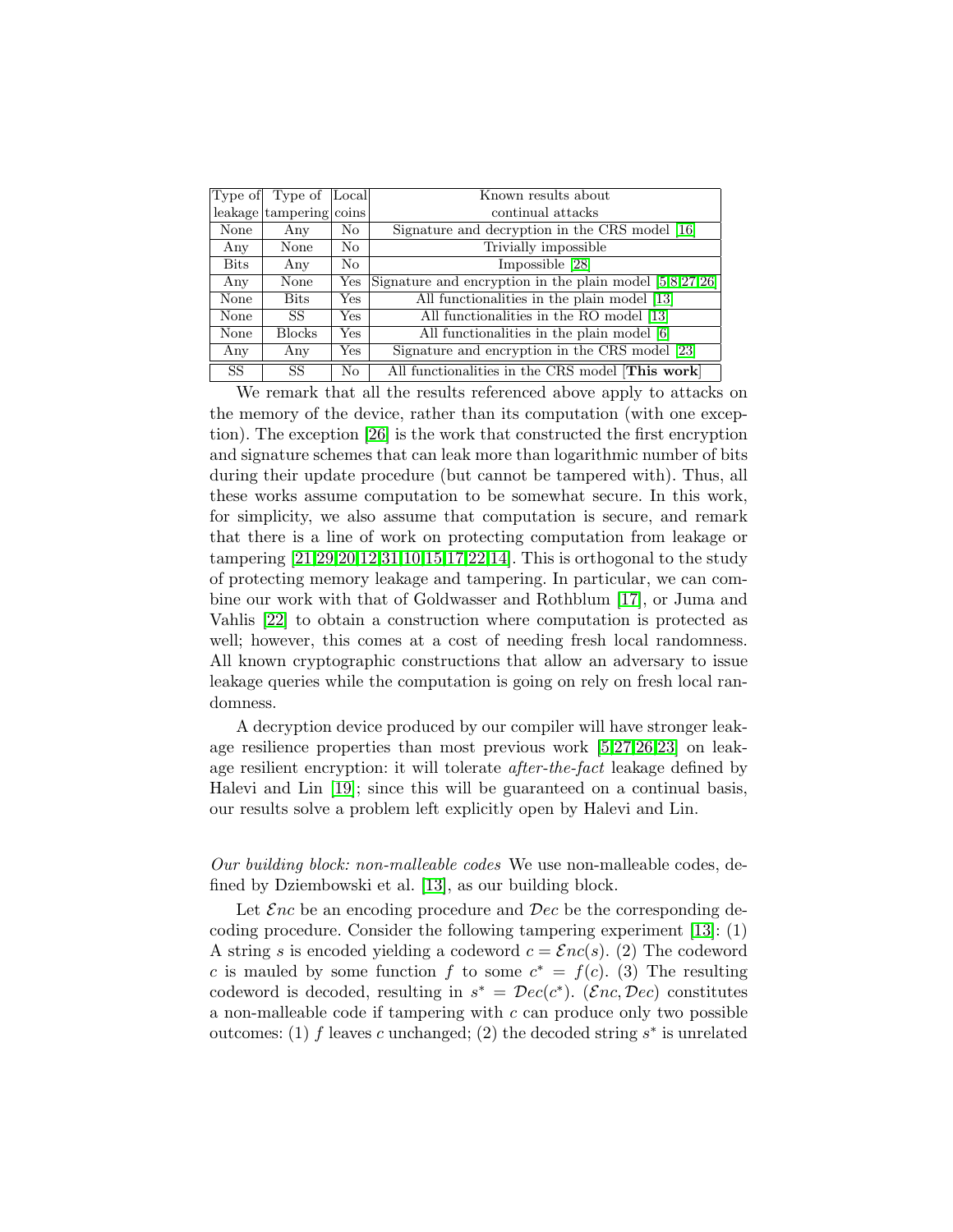| Type of     | Type of                 | Local          | Known results about                                       |
|-------------|-------------------------|----------------|-----------------------------------------------------------|
|             | leakage tampering coins |                | continual attacks                                         |
| None        | Any                     | No.            | Signature and decryption in the CRS model [16]            |
| Any         | None                    | No.            | Trivially impossible                                      |
| <b>Bits</b> | Any                     | N <sub>o</sub> | Impossible [28]                                           |
| Any         | None                    | Yes            | Signature and encryption in the plain model $[5,8,27,26]$ |
| None        | <b>Bits</b>             | Yes            | All functionalities in the plain model $[13]$             |
| None        | SS                      | <b>Yes</b>     | All functionalities in the RO model [13]                  |
| None        | <b>Blocks</b>           | <b>Yes</b>     | All functionalities in the plain model [6]                |
| Any         | Any                     | Yes            | Signature and encryption in the CRS model [23]            |
| <b>SS</b>   | SS                      | N <sub>0</sub> | All functionalities in the CRS model [This work]          |

We remark that all the results referenced above apply to attacks on the memory of the device, rather than its computation (with one exception). The exception [\[26\]](#page-17-6) is the work that constructed the first encryption and signature schemes that can leak more than logarithmic number of bits during their update procedure (but cannot be tampered with). Thus, all these works assume computation to be somewhat secure. In this work, for simplicity, we also assume that computation is secure, and remark that there is a line of work on protecting computation from leakage or tampering [\[21,](#page-17-10)[29](#page-17-11)[,20](#page-17-12)[,12](#page-16-7)[,31](#page-17-13)[,10](#page-16-10)[,15](#page-17-14)[,17,](#page-17-15)[22,](#page-17-16)[14\]](#page-17-17). This is orthogonal to the study of protecting memory leakage and tampering. In particular, we can combine our work with that of Goldwasser and Rothblum [\[17\]](#page-17-15), or Juma and Vahlis [\[22\]](#page-17-16) to obtain a construction where computation is protected as well; however, this comes at a cost of needing fresh local randomness. All known cryptographic constructions that allow an adversary to issue leakage queries while the computation is going on rely on fresh local randomness.

A decryption device produced by our compiler will have stronger leakage resilience properties than most previous work [\[5,](#page-16-2)[27,](#page-17-5)[26,](#page-17-6)[23\]](#page-17-0) on leakage resilient encryption: it will tolerate after-the-fact leakage defined by Halevi and Lin [\[19\]](#page-17-18); since this will be guaranteed on a continual basis, our results solve a problem left explicitly open by Halevi and Lin.

Our building block: non-malleable codes We use non-malleable codes, defined by Dziembowski et al. [\[13\]](#page-17-9), as our building block.

Let  $\mathcal{E}nc$  be an encoding procedure and  $\mathcal{D}ec$  be the corresponding decoding procedure. Consider the following tampering experiment [\[13\]](#page-17-9): (1) A string s is encoded yielding a codeword  $c = \mathcal{E}nc(s)$ . (2) The codeword c is mauled by some function f to some  $c^* = f(c)$ . (3) The resulting codeword is decoded, resulting in  $s^* = \mathcal{D}ec(c^*)$ . (*Enc*,  $\mathcal{D}ec$ ) constitutes a non-malleable code if tampering with  $c$  can produce only two possible outcomes: (1)  $f$  leaves  $c$  unchanged; (2) the decoded string  $s^*$  is unrelated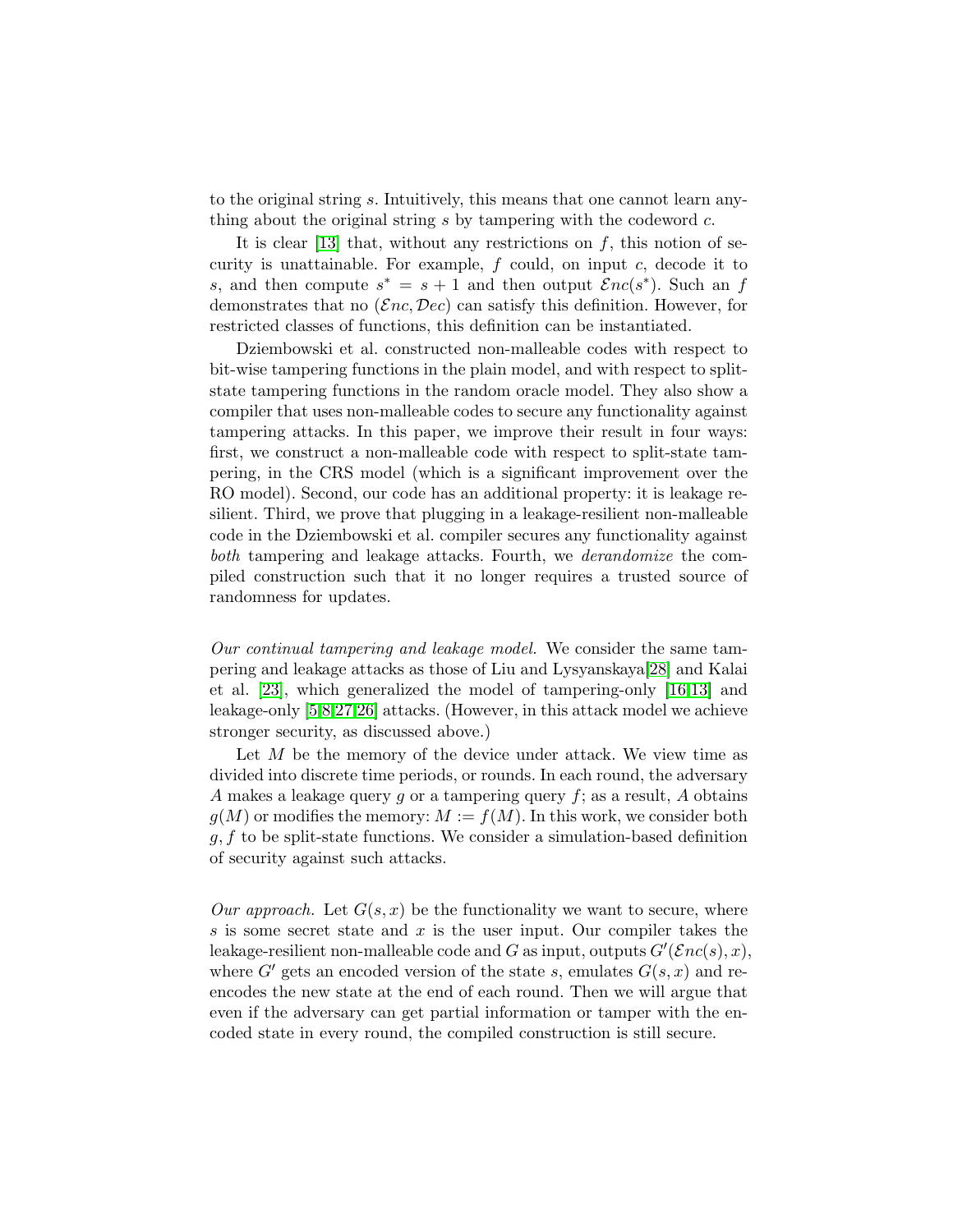to the original string s. Intuitively, this means that one cannot learn anything about the original string s by tampering with the codeword c.

It is clear [\[13\]](#page-17-9) that, without any restrictions on  $f$ , this notion of security is unattainable. For example,  $f$  could, on input  $c$ , decode it to s, and then compute  $s^* = s + 1$  and then output  $\mathcal{E}nc(s^*)$ . Such an f demonstrates that no  $(\mathcal{E}nc, \mathcal{D}ec)$  can satisfy this definition. However, for restricted classes of functions, this definition can be instantiated.

Dziembowski et al. constructed non-malleable codes with respect to bit-wise tampering functions in the plain model, and with respect to splitstate tampering functions in the random oracle model. They also show a compiler that uses non-malleable codes to secure any functionality against tampering attacks. In this paper, we improve their result in four ways: first, we construct a non-malleable code with respect to split-state tampering, in the CRS model (which is a significant improvement over the RO model). Second, our code has an additional property: it is leakage resilient. Third, we prove that plugging in a leakage-resilient non-malleable code in the Dziembowski et al. compiler secures any functionality against both tampering and leakage attacks. Fourth, we derandomize the compiled construction such that it no longer requires a trusted source of randomness for updates.

Our continual tampering and leakage model. We consider the same tampering and leakage attacks as those of Liu and Lysyanskaya[\[28\]](#page-17-3) and Kalai et al. [\[23\]](#page-17-0), which generalized the model of tampering-only [\[16,](#page-17-4)[13\]](#page-17-9) and leakage-only [\[5,](#page-16-2)[8,](#page-16-3)[27](#page-17-5)[,26\]](#page-17-6) attacks. (However, in this attack model we achieve stronger security, as discussed above.)

Let M be the memory of the device under attack. We view time as divided into discrete time periods, or rounds. In each round, the adversary A makes a leakage query g or a tampering query  $f$ ; as a result, A obtains  $g(M)$  or modifies the memory:  $M := f(M)$ . In this work, we consider both  $g, f$  to be split-state functions. We consider a simulation-based definition of security against such attacks.

Our approach. Let  $G(s, x)$  be the functionality we want to secure, where s is some secret state and  $x$  is the user input. Our compiler takes the leakage-resilient non-malleable code and G as input, outputs  $G'(\mathcal{E}nc(s),x)$ , where G' gets an encoded version of the state s, emulates  $G(s, x)$  and reencodes the new state at the end of each round. Then we will argue that even if the adversary can get partial information or tamper with the encoded state in every round, the compiled construction is still secure.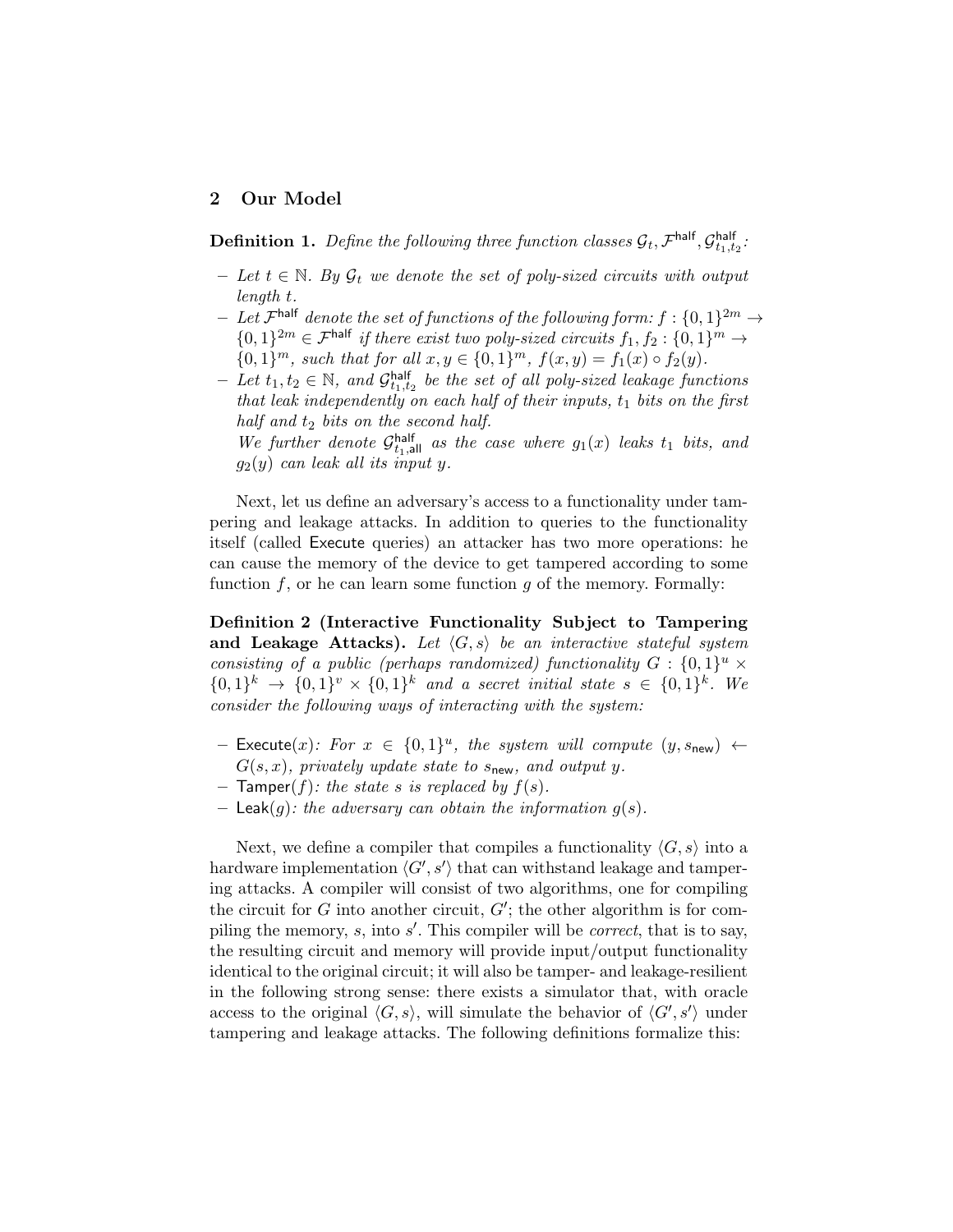## 2 Our Model

**Definition 1.** Define the following three function classes  $\mathcal{G}_t$ ,  $\mathcal{F}^{\text{half}}, \mathcal{G}^{\text{half}}_{t_1,t_2}$ .

- Let  $t \in \mathbb{N}$ . By  $\mathcal{G}_t$  we denote the set of poly-sized circuits with output length t.
- $-$  Let  ${\mathcal F}^{\textsf{half}}$  denote the set of functions of the following form:  $f:\{0,1\}^{2m} \to$  $\{0,1\}^{2m} \in \mathcal{F}^{\text{half}}$  if there exist two poly-sized circuits  $f_1, f_2: \{0,1\}^m \to$  ${0,1}^m$ , such that for all  $x, y \in {0,1}^m$ ,  $f(x,y) = f_1(x) \circ f_2(y)$ .
- $−$  Let  $t_1, t_2 \in \mathbb{N}$ , and  $\mathcal{G}^{\text{half}}_{t_1,t_2}$  be the set of all poly-sized leakage functions that leak independently on each half of their inputs,  $t_1$  bits on the first half and  $t_2$  bits on the second half.

We further denote  $\mathcal{G}^{\text{half}}_{t_1,\text{all}}$  as the case where  $g_1(x)$  leaks  $t_1$  bits, and  $q_2(y)$  can leak all its input y.

Next, let us define an adversary's access to a functionality under tampering and leakage attacks. In addition to queries to the functionality itself (called Execute queries) an attacker has two more operations: he can cause the memory of the device to get tampered according to some function  $f$ , or he can learn some function  $g$  of the memory. Formally:

Definition 2 (Interactive Functionality Subject to Tampering and Leakage Attacks). Let  $\langle G, s \rangle$  be an interactive stateful system consisting of a public (perhaps randomized) functionality  $G: \{0,1\}^u \times$  $\{0,1\}^k \rightarrow \{0,1\}^v \times \{0,1\}^k$  and a secret initial state  $s \in \{0,1\}^k$ . We consider the following ways of interacting with the system:

- $-$  Execute(x): For  $x \in \{0,1\}^u$ , the system will compute  $(y, s_{\text{new}}) \leftarrow$  $G(s, x)$ , privately update state to  $s_{\text{new}}$ , and output y.
- Tamper(f): the state s is replaced by  $f(s)$ .
- Leak(q): the adversary can obtain the information  $q(s)$ .

Next, we define a compiler that compiles a functionality  $\langle G, s \rangle$  into a hardware implementation  $\langle G', s' \rangle$  that can withstand leakage and tampering attacks. A compiler will consist of two algorithms, one for compiling the circuit for  $G$  into another circuit,  $G'$ ; the other algorithm is for compiling the memory,  $s$ , into  $s'$ . This compiler will be *correct*, that is to say, the resulting circuit and memory will provide input/output functionality identical to the original circuit; it will also be tamper- and leakage-resilient in the following strong sense: there exists a simulator that, with oracle access to the original  $\langle G, s \rangle$ , will simulate the behavior of  $\langle G', s' \rangle$  under tampering and leakage attacks. The following definitions formalize this: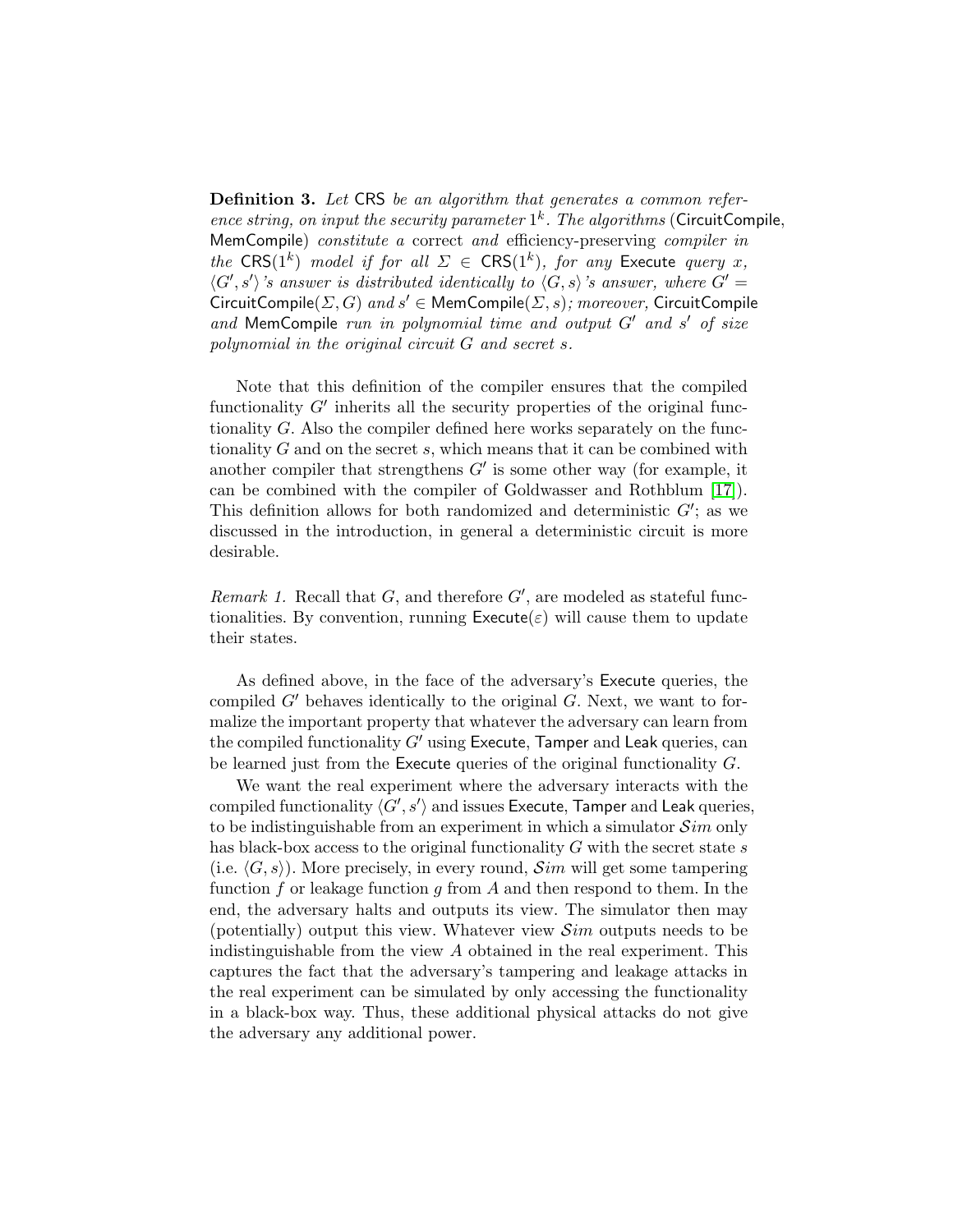Definition 3. Let CRS be an algorithm that generates a common reference string, on input the security parameter  $1^k$ . The algorithms (CircuitCompile, MemCompile) constitute a correct and efficiency-preserving compiler in the CRS(1<sup>k</sup>) model if for all  $\Sigma \in \text{CRS}(1^k)$ , for any Execute query x,  $\langle G', s' \rangle$ 's answer is distributed identically to  $\langle G, s \rangle$ 's answer, where  $G' =$ CircuitCompile( $\Sigma$ , G) and  $s' \in \mathsf{MemComplete}(\Sigma, s)$ ; moreover, CircuitCompile and MemCompile run in polynomial time and output  $G'$  and  $s'$  of size polynomial in the original circuit G and secret s.

Note that this definition of the compiler ensures that the compiled functionality  $G'$  inherits all the security properties of the original functionality G. Also the compiler defined here works separately on the functionality G and on the secret s, which means that it can be combined with another compiler that strengthens  $G'$  is some other way (for example, it can be combined with the compiler of Goldwasser and Rothblum [\[17\]](#page-17-15)). This definition allows for both randomized and deterministic  $G'$ ; as we discussed in the introduction, in general a deterministic circuit is more desirable.

Remark 1. Recall that  $G$ , and therefore  $G'$ , are modeled as stateful functionalities. By convention, running  $\mathsf{Execute}(\varepsilon)$  will cause them to update their states.

As defined above, in the face of the adversary's Execute queries, the compiled  $G'$  behaves identically to the original  $G$ . Next, we want to formalize the important property that whatever the adversary can learn from the compiled functionality  $G'$  using Execute, Tamper and Leak queries, can be learned just from the Execute queries of the original functionality G.

We want the real experiment where the adversary interacts with the compiled functionality  $\langle G', s' \rangle$  and issues Execute, Tamper and Leak queries, to be indistinguishable from an experiment in which a simulator  $Sim$  only has black-box access to the original functionality  $G$  with the secret state  $s$ (i.e.  $\langle G, s \rangle$ ). More precisely, in every round, Sim will get some tampering function f or leakage function g from A and then respond to them. In the end, the adversary halts and outputs its view. The simulator then may (potentially) output this view. Whatever view  $\mathcal{S}$ *im* outputs needs to be indistinguishable from the view A obtained in the real experiment. This captures the fact that the adversary's tampering and leakage attacks in the real experiment can be simulated by only accessing the functionality in a black-box way. Thus, these additional physical attacks do not give the adversary any additional power.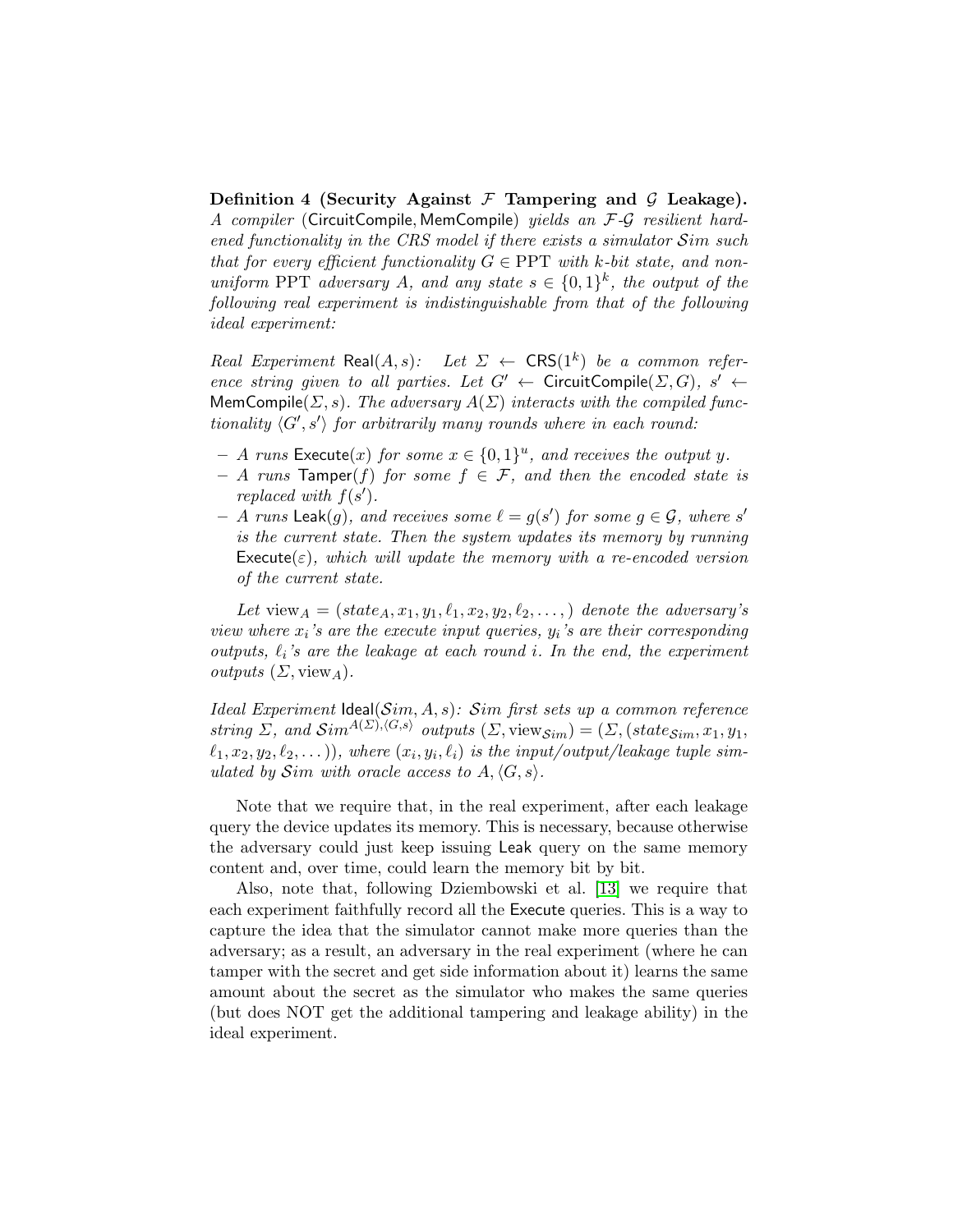Definition 4 (Security Against  $\mathcal F$  Tampering and  $\mathcal G$  Leakage). A compiler (CircuitCompile, MemCompile) yields an F-G resilient hardened functionality in the CRS model if there exists a simulator Sim such that for every efficient functionality  $G \in \text{PPT}$  with k-bit state, and nonuniform PPT adversary A, and any state  $s \in \{0,1\}^k$ , the output of the following real experiment is indistinguishable from that of the following ideal experiment:

Real Experiment Real $(A, s)$ : Let  $\Sigma \leftarrow \mathsf{CRS}(1^k)$  be a common reference string given to all parties. Let  $G' \leftarrow$  CircuitCompile( $\Sigma, G$ ),  $s' \leftarrow$ MemCompile( $\Sigma$ , s). The adversary  $A(\Sigma)$  interacts with the compiled functionality  $\langle G', s' \rangle$  for arbitrarily many rounds where in each round:

- $A$  runs Execute(x) for some  $x \in \{0,1\}^u$ , and receives the output y.
- $A$  runs Tamper(f) for some  $f \in \mathcal{F}$ , and then the encoded state is replaced with  $f(s')$ .
- $A$  runs Leak(g), and receives some  $\ell = g(s')$  for some  $g \in \mathcal{G}$ , where s' is the current state. Then the system updates its memory by running  ${\sf Executive}(\varepsilon)$ , which will update the memory with a re-encoded version of the current state.

Let view<sub>A</sub> =  $(state_A, x_1, y_1, \ell_1, x_2, y_2, \ell_2, \ldots)$  denote the adversary's view where  $x_i$ 's are the execute input queries,  $y_i$ 's are their corresponding outputs,  $\ell_i$ 's are the leakage at each round i. In the end, the experiment *outputs*  $(\Sigma, \text{view}_A)$ .

Ideal Experiment  $\text{Ideal}(Sim, A, s)$ : Sim first sets up a common reference string  $\Sigma$ , and  $Sim^{A(\Sigma),\langle G,s\rangle}$  outputs  $(\Sigma, \text{view}_{Sim}) = (\Sigma, (state_{Sim}, x_1, y_1,$  $\ell_1, x_2, y_2, \ell_2, \dots$ )), where  $(x_i, y_i, \ell_i)$  is the input/output/leakage tuple simulated by Sim with oracle access to  $A, \langle G, s \rangle$ .

Note that we require that, in the real experiment, after each leakage query the device updates its memory. This is necessary, because otherwise the adversary could just keep issuing Leak query on the same memory content and, over time, could learn the memory bit by bit.

Also, note that, following Dziembowski et al. [\[13\]](#page-17-9) we require that each experiment faithfully record all the Execute queries. This is a way to capture the idea that the simulator cannot make more queries than the adversary; as a result, an adversary in the real experiment (where he can tamper with the secret and get side information about it) learns the same amount about the secret as the simulator who makes the same queries (but does NOT get the additional tampering and leakage ability) in the ideal experiment.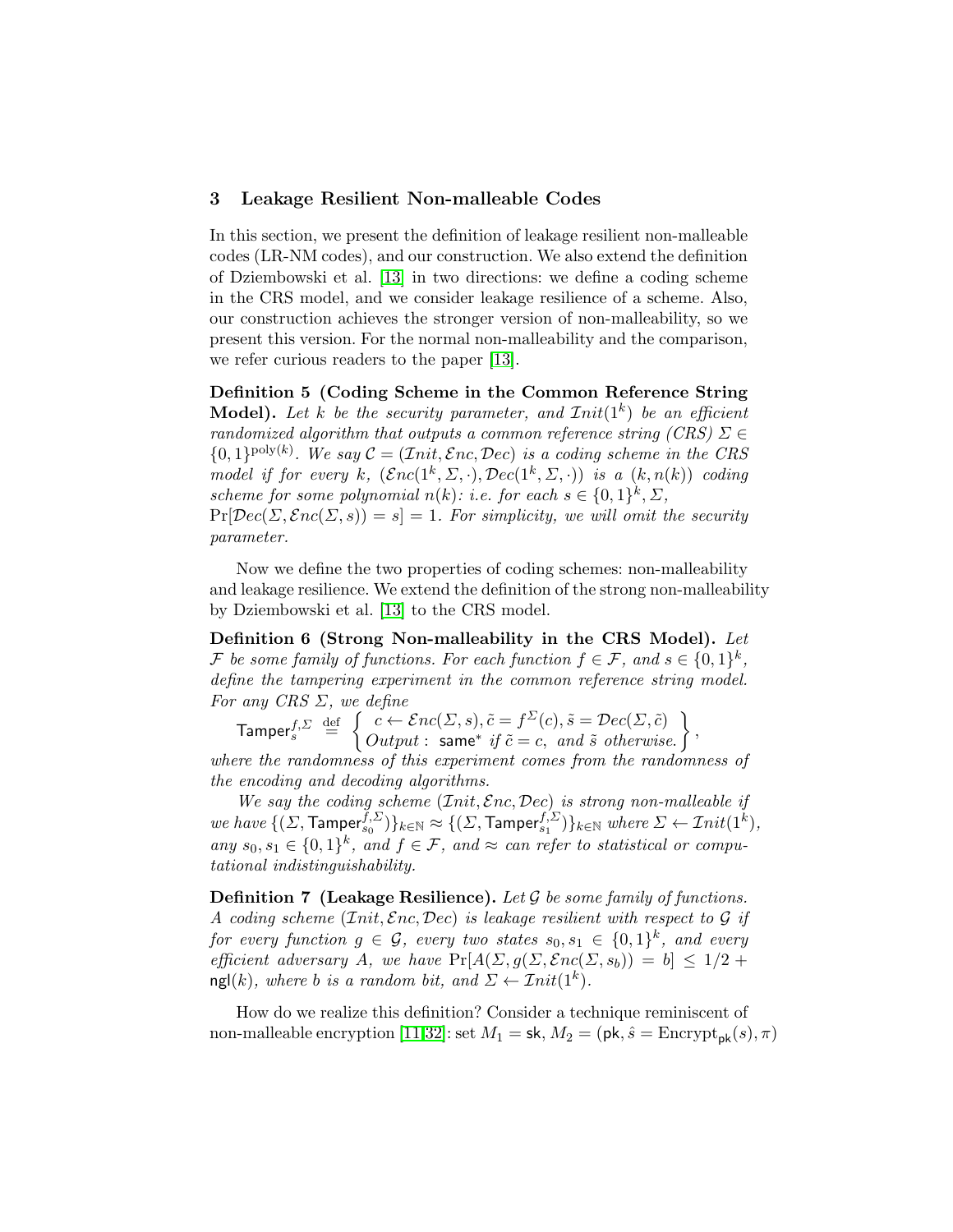#### 3 Leakage Resilient Non-malleable Codes

In this section, we present the definition of leakage resilient non-malleable codes (LR-NM codes), and our construction. We also extend the definition of Dziembowski et al. [\[13\]](#page-17-9) in two directions: we define a coding scheme in the CRS model, and we consider leakage resilience of a scheme. Also, our construction achieves the stronger version of non-malleability, so we present this version. For the normal non-malleability and the comparison, we refer curious readers to the paper [\[13\]](#page-17-9).

Definition 5 (Coding Scheme in the Common Reference String **Model).** Let k be the security parameter, and  $Init(1^k)$  be an efficient randomized algorithm that outputs a common reference string (CRS)  $\Sigma \in$  ${0,1}^{\text{poly}(k)}$ . We say  $\mathcal{C} = (\mathcal{I}nit, \mathcal{E}nc, \mathcal{D}ec)$  is a coding scheme in the CRS model if for every k,  $(\mathcal{E}nc(1^k,\Sigma,\cdot), \mathcal{D}ec(1^k,\Sigma,\cdot))$  is a  $(k,n(k))$  coding scheme for some polynomial  $n(k)$ : i.e. for each  $s \in \{0,1\}^k, \Sigma$ ,  $Pr[Dec(\Sigma, Enc(\Sigma, s)) = s] = 1$ . For simplicity, we will omit the security parameter.

Now we define the two properties of coding schemes: non-malleability and leakage resilience. We extend the definition of the strong non-malleability by Dziembowski et al. [\[13\]](#page-17-9) to the CRS model.

Definition 6 (Strong Non-malleability in the CRS Model). Let F be some family of functions. For each function  $f \in \mathcal{F}$ , and  $s \in \{0,1\}^k$ , define the tampering experiment in the common reference string model. For any CRS  $\Sigma$ , we define

<span id="page-8-0"></span> $\mathsf{Tamper}^{f,\Sigma}_{s} \stackrel{\text{def}}{=} \begin{cases} c \leftarrow \mathcal{E}nc(\Sigma,s), \tilde{c} = f^{\Sigma}(c), \tilde{s} = \mathcal{D}ec(\Sigma,\tilde{c}) \\ Qutrut : \mathsf{same}^* \text{ if } \tilde{c} = c \text{ and } \tilde{s} \text{ otherwise.} \end{cases}$ Output : same<sup>\*</sup> if  $\tilde{c} = c$ , and  $\tilde{s}$  otherwise.  $\big\}$ ,

where the randomness of this experiment comes from the randomness of the encoding and decoding algorithms.

We say the coding scheme  $(\text{Init}, \mathcal{E}nc, \mathcal{D}ec)$  is strong non-malleable if we have  $\{(\varSigma, \mathsf{Tamper}_{{s_0}}^{f, \varSigma})\}_{k\in\mathbb{N}} \approx \{(\varSigma, \mathsf{Tamper}_{{s_1}}^{f, \varSigma})\}_{k\in\mathbb{N}}$  where  $\varSigma \leftarrow \mathcal{I}nit(1^k),$ any  $s_0, s_1 \in \{0,1\}^k$ , and  $f \in \mathcal{F}$ , and  $\approx$  can refer to statistical or computational indistinguishability.

<span id="page-8-1"></span>**Definition 7** (Leakage Resilience). Let  $\mathcal G$  be some family of functions. A coding scheme  $(\text{Init}, \mathcal{E}nc, \mathcal{D}ec)$  is leakage resilient with respect to  $\mathcal G$  if for every function  $g \in \mathcal{G}$ , every two states  $s_0, s_1 \in \{0,1\}^k$ , and every efficient adversary A, we have  $Pr[A(\Sigma, g(\Sigma, \mathcal{E}nc(\Sigma, s_b))] = b] \leq 1/2 +$ ngl(k), where b is a random bit, and  $\Sigma \leftarrow \text{Init}(1^k)$ .

How do we realize this definition? Consider a technique reminiscent of non-malleable encryption [\[11](#page-16-11)[,32\]](#page-17-19): set  $M_1 = \mathsf{sk}, M_2 = (\mathsf{pk}, \hat{s} = \text{Energy}_{\mathsf{pk}}(s), \pi)$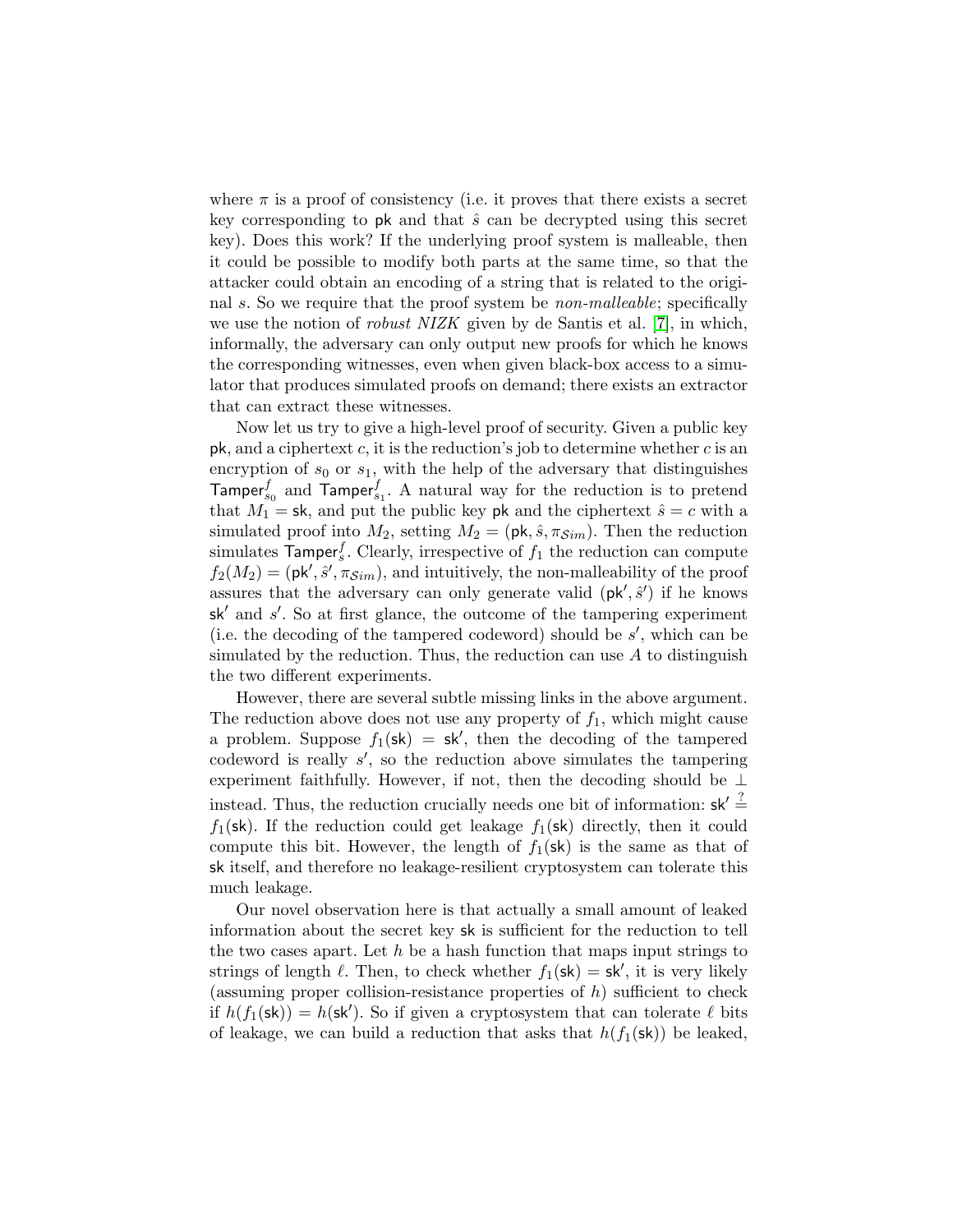where  $\pi$  is a proof of consistency (i.e. it proves that there exists a secret key corresponding to pk and that  $\hat{s}$  can be decrypted using this secret key). Does this work? If the underlying proof system is malleable, then it could be possible to modify both parts at the same time, so that the attacker could obtain an encoding of a string that is related to the original s. So we require that the proof system be *non-malleable*; specifically we use the notion of robust NIZK given by de Santis et al. [\[7\]](#page-16-9), in which, informally, the adversary can only output new proofs for which he knows the corresponding witnesses, even when given black-box access to a simulator that produces simulated proofs on demand; there exists an extractor that can extract these witnesses.

Now let us try to give a high-level proof of security. Given a public key  $pk$ , and a ciphertext c, it is the reduction's job to determine whether c is an encryption of  $s_0$  or  $s_1$ , with the help of the adversary that distinguishes Tamper $f_{s_0}$  and Tamper $f_{s_1}$ . A natural way for the reduction is to pretend that  $M_1 =$  sk, and put the public key pk and the ciphertext  $\hat{s} = c$  with a simulated proof into  $M_2$ , setting  $M_2 = (\mathsf{pk}, \hat{s}, \pi_{\text{Sim}})$ . Then the reduction simulates  $\mathsf{Tamper}_s^f$ . Clearly, irrespective of  $f_1$  the reduction can compute  $f_2(M_2) = (\mathsf{pk}', \hat{s}', \pi_{\mathcal{S}im})$ , and intuitively, the non-malleability of the proof assures that the adversary can only generate valid  $(\mathsf{pk}', \hat{s}')$  if he knows  $sk'$  and  $s'$ . So at first glance, the outcome of the tampering experiment (i.e. the decoding of the tampered codeword) should be  $s'$ , which can be simulated by the reduction. Thus, the reduction can use  $A$  to distinguish the two different experiments.

However, there are several subtle missing links in the above argument. The reduction above does not use any property of  $f_1$ , which might cause a problem. Suppose  $f_1(\mathsf{sk}) = \mathsf{sk}'$ , then the decoding of the tampered codeword is really  $s'$ , so the reduction above simulates the tampering experiment faithfully. However, if not, then the decoding should be ⊥ instead. Thus, the reduction crucially needs one bit of information:  $sk' \stackrel{?}{=}$  $f_1(\mathsf{sk})$ . If the reduction could get leakage  $f_1(\mathsf{sk})$  directly, then it could compute this bit. However, the length of  $f_1(\mathsf{sk})$  is the same as that of sk itself, and therefore no leakage-resilient cryptosystem can tolerate this much leakage.

Our novel observation here is that actually a small amount of leaked information about the secret key sk is sufficient for the reduction to tell the two cases apart. Let  $h$  be a hash function that maps input strings to strings of length  $\ell$ . Then, to check whether  $f_1(\mathsf{sk}) = \mathsf{sk}'$ , it is very likely (assuming proper collision-resistance properties of  $h$ ) sufficient to check if  $h(f_1(\mathsf{sk})) = h(\mathsf{sk}')$ . So if given a cryptosystem that can tolerate  $\ell$  bits of leakage, we can build a reduction that asks that  $h(f_1(\mathsf{sk}))$  be leaked,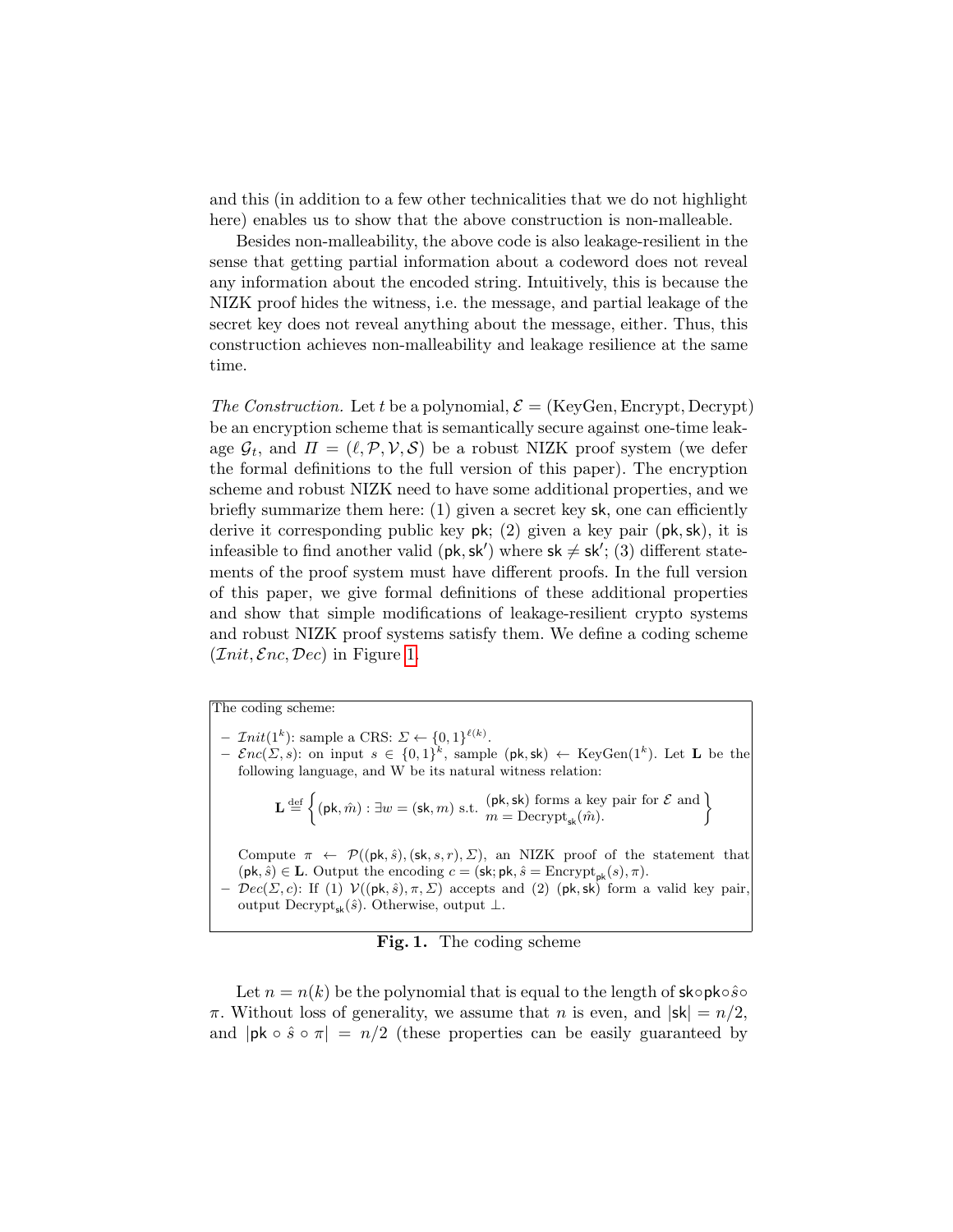and this (in addition to a few other technicalities that we do not highlight here) enables us to show that the above construction is non-malleable.

Besides non-malleability, the above code is also leakage-resilient in the sense that getting partial information about a codeword does not reveal any information about the encoded string. Intuitively, this is because the NIZK proof hides the witness, i.e. the message, and partial leakage of the secret key does not reveal anything about the message, either. Thus, this construction achieves non-malleability and leakage resilience at the same time.

The Construction. Let t be a polynomial,  $\mathcal{E} =$  (KeyGen, Encrypt, Decrypt) be an encryption scheme that is semantically secure against one-time leakage  $\mathcal{G}_t$ , and  $\Pi = (\ell, \mathcal{P}, \mathcal{V}, \mathcal{S})$  be a robust NIZK proof system (we defer the formal definitions to the full version of this paper). The encryption scheme and robust NIZK need to have some additional properties, and we briefly summarize them here: (1) given a secret key sk, one can efficiently derive it corresponding public key  $pk$ ; (2) given a key pair  $(pk, sk)$ , it is infeasible to find another valid ( $pk, sk'$ ) where  $sk \neq sk'$ ; (3) different statements of the proof system must have different proofs. In the full version of this paper, we give formal definitions of these additional properties and show that simple modifications of leakage-resilient crypto systems and robust NIZK proof systems satisfy them. We define a coding scheme  $(\mathcal{I}nit, \mathcal{E}nc, \mathcal{D}ec)$  in Figure [1.](#page-10-0)

The coding scheme:

- $Init(1^k)$ : sample a CRS:  $\Sigma \leftarrow \{0, 1\}^{\ell(k)}$ .
- $\mathcal{E}nc(\Sigma, s)$ : on input  $s \in \{0,1\}^k$ , sample (pk, sk)  $\leftarrow \text{KeyGen}(1^k)$ . Let **L** be the following language, and W be its natural witness relation:

 $\mathbf{L} \stackrel{\text{def}}{=} \left\{ (\mathsf{pk}, \hat{m}) : \exists w = (\mathsf{sk}, m) \text{ s.t. } \begin{aligned} & (\mathsf{pk}, \mathsf{sk}) \text{ forms a key pair for } \mathcal{E} \text{ and} \\ & m = \text{Decrypt}_{\mathsf{sk}}(\hat{m}). \end{aligned} \right\}$ 

Compute  $\pi \leftarrow \mathcal{P}((\mathsf{pk}, \hat{s}), (\mathsf{sk}, s, r), \Sigma)$ , an NIZK proof of the statement that  $(\mathsf{pk}, \hat{s}) \in \mathbf{L}$ . Output the encoding  $c = (\mathsf{sk}; \mathsf{pk}, \hat{s} = \text{Encrypt}_{\mathsf{pk}}(s), \pi)$ .

–  $\mathcal{D}ec(\Sigma, c)$ : If (1)  $\mathcal{V}((\mathsf{pk}, \hat{s}), \pi, \Sigma)$  accepts and (2) ( $\mathsf{pk}, \mathsf{sk}$ ) form a valid key pair, output Decrypt<sub>sk</sub> $(\hat{s})$ . Otherwise, output ⊥.

<span id="page-10-0"></span>

Let  $n = n(k)$  be the polynomial that is equal to the length of sk∘pk∘ $\hat{s} \circ$  $\pi$ . Without loss of generality, we assume that n is even, and  $|\mathsf{sk}| = n/2$ , and  $|\mathsf{pk} \circ \hat{s} \circ \pi| = n/2$  (these properties can be easily guaranteed by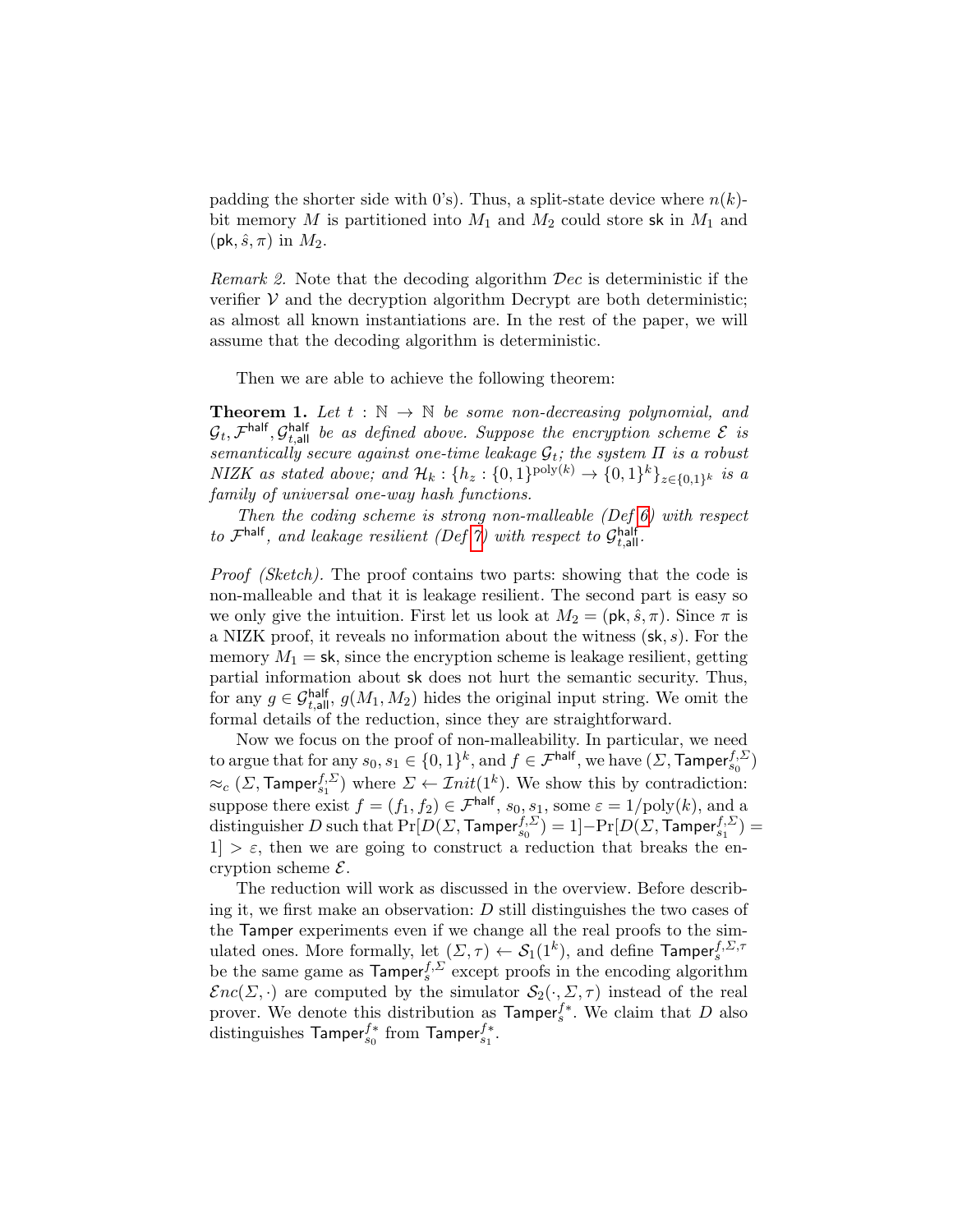padding the shorter side with 0's). Thus, a split-state device where  $n(k)$ bit memory M is partitioned into  $M_1$  and  $M_2$  could store sk in  $M_1$  and  $(\mathsf{pk}, \hat{s}, \pi)$  in  $M_2$ .

Remark 2. Note that the decoding algorithm Dec is deterministic if the verifier  $V$  and the decryption algorithm Decrypt are both deterministic; as almost all known instantiations are. In the rest of the paper, we will assume that the decoding algorithm is deterministic.

Then we are able to achieve the following theorem:

**Theorem 1.** Let  $t : \mathbb{N} \to \mathbb{N}$  be some non-decreasing polynomial, and  $\mathcal{G}_t$ ,  $\mathcal{F}^{\mathsf{half}}$ ,  $\mathcal{G}^{\mathsf{half}}_{t, \mathsf{all}}$  be as defined above. Suppose the encryption scheme  $\mathcal E$  is semantically secure against one-time leakage  $G_t$ ; the system  $\Pi$  is a robust NIZK as stated above; and  $\mathcal{H}_k: \{h_z: \{0,1\}^{\text{poly}(k)} \to \{0,1\}^k\}_{z \in \{0,1\}^k}$  is a family of universal one-way hash functions.

Then the coding scheme is strong non-malleable (Def [6\)](#page-8-0) with respect to  $\mathcal{F}^{\text{half}}$ , and leakage resilient (Def [7\)](#page-8-1) with respect to  $\mathcal{G}^{\text{half}}_{t,\text{all}}$ .

Proof (Sketch). The proof contains two parts: showing that the code is non-malleable and that it is leakage resilient. The second part is easy so we only give the intuition. First let us look at  $M_2 = (\mathsf{pk}, \hat{s}, \pi)$ . Since  $\pi$  is a NIZK proof, it reveals no information about the witness (sk, s). For the memory  $M_1 =$  sk, since the encryption scheme is leakage resilient, getting partial information about sk does not hurt the semantic security. Thus, for any  $g \in \mathcal{G}^{\text{half}}_{t,\text{all}}$ ,  $g(M_1, M_2)$  hides the original input string. We omit the formal details of the reduction, since they are straightforward.

Now we focus on the proof of non-malleability. In particular, we need to argue that for any  $s_0, s_1 \in \{0,1\}^k$ , and  $f \in \mathcal{F}^{\mathsf{half}},$  we have  $(\Sigma, \mathsf{Tamper}_{s_0}^{f, \Sigma})$  $\approx_c ( \Sigma, \text{Tamper}^{f, \Sigma}_{s_1})$  where  $\Sigma \leftarrow \text{Init}(1^k)$ . We show this by contradiction: suppose there exist  $f = (f_1, f_2) \in \mathcal{F}^{\text{half}}, s_0, s_1, \text{ some } \varepsilon = 1/\text{poly}(k), \text{ and a}$ distinguisher D such that  $\Pr[D(\varSigma,\mathsf{Tamper}_{s_0}^{f,\varSigma})=1]-\Pr[D(\varSigma,\mathsf{Tamper}_{s_1}^{f,\varSigma})=1]$  $1$  >  $\varepsilon$ , then we are going to construct a reduction that breaks the encryption scheme  $\mathcal{E}$ .

The reduction will work as discussed in the overview. Before describing it, we first make an observation:  $D$  still distinguishes the two cases of the Tamper experiments even if we change all the real proofs to the simulated ones. More formally, let  $(\Sigma, \tau) \leftarrow \mathcal{S}_1(1^k)$ , and define  $\tau$ amper $f_s^{\Sigma, \tau}$ be the same game as  $\mathsf{Tamper}_s^{f,\Sigma}$  except proofs in the encoding algorithm  $\mathcal{E}nc(\Sigma, \cdot)$  are computed by the simulator  $\mathcal{S}_2(\cdot, \Sigma, \tau)$  instead of the real prover. We denote this distribution as  $\textsf{Tamper}_s^{f*}$ . We claim that D also distinguishes  $\mathsf{Tamper}_{s_0}^{f*}$  from  $\mathsf{Tamper}_{s_1}^{f*}.$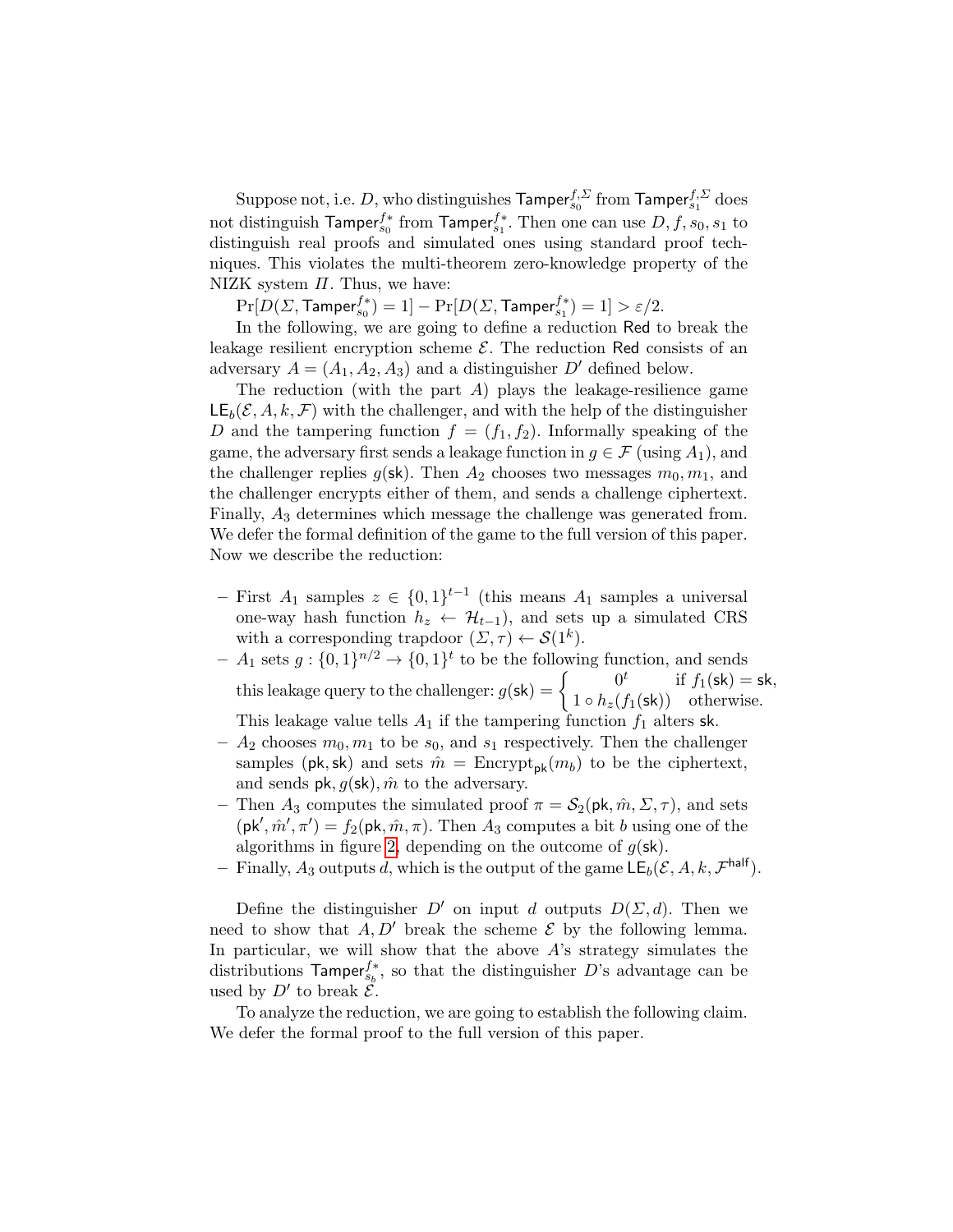Suppose not, i.e.  $D,$  who distinguishes  $\mathsf{Tamper}_{s_0}^{f,\varSigma}$  from  $\mathsf{Tamper}_{s_1}^{f,\varSigma}$  does not distinguish  $\mathsf{Tamper}_{s_0}^{f*}$  from  $\mathsf{Tamper}_{s_1}^{f*}.$  Then one can use  $D,f,s_0,s_1$  to distinguish real proofs and simulated ones using standard proof techniques. This violates the multi-theorem zero-knowledge property of the NIZK system  $\Pi$ . Thus, we have:

 $\Pr[D(\varSigma,\mathsf{Tamper}_{s_0}^{f*})=1]-\Pr[D(\varSigma,\mathsf{Tamper}_{s_1}^{f*})=1]>\varepsilon/2.$ 

In the following, we are going to define a reduction Red to break the leakage resilient encryption scheme  $\mathcal{E}$ . The reduction Red consists of an adversary  $A = (A_1, A_2, A_3)$  and a distinguisher D' defined below.

The reduction (with the part  $A$ ) plays the leakage-resilience game  $LE_b(\mathcal{E}, A, k, \mathcal{F})$  with the challenger, and with the help of the distinguisher D and the tampering function  $f = (f_1, f_2)$ . Informally speaking of the game, the adversary first sends a leakage function in  $g \in \mathcal{F}$  (using  $A_1$ ), and the challenger replies  $g(\mathsf{sk})$ . Then  $A_2$  chooses two messages  $m_0, m_1$ , and the challenger encrypts either of them, and sends a challenge ciphertext. Finally,  $A_3$  determines which message the challenge was generated from. We defer the formal definition of the game to the full version of this paper. Now we describe the reduction:

- First  $A_1$  samples  $z \in \{0,1\}^{t-1}$  (this means  $A_1$  samples a universal one-way hash function  $h_z \leftarrow \mathcal{H}_{t-1}$ , and sets up a simulated CRS with a corresponding trapdoor  $(\Sigma, \tau) \leftarrow \mathcal{S}(1^k)$ .
- $-A_1$  sets  $g: \{0,1\}^{n/2} \to \{0,1\}^t$  to be the following function, and sends this leakage query to the challenger:  $g(\mathsf{sk}) = \begin{cases} 0^t & \text{if } t \leq t \\ 1 & \text{if } t \leq t \end{cases}$ if  $f_1(\mathsf{sk}) = \mathsf{sk}$ ,  $1 \circ h_z(f_1(\mathsf{sk}))$  otherwise. This leakage value tells  $A_1$  if the tampering function  $f_1$  alters sk.
- $A_2$  chooses  $m_0, m_1$  to be  $s_0$ , and  $s_1$  respectively. Then the challenger samples (pk, sk) and sets  $\hat{m} = \text{Energy}_{\text{pk}}(m_b)$  to be the ciphertext, and sends  $pk$ ,  $g$ (sk),  $\hat{m}$  to the adversary.
- Then  $A_3$  computes the simulated proof  $\pi = \mathcal{S}_2(\mathsf{pk}, \hat{m}, \Sigma, \tau)$ , and sets  $(\mathsf{pk}', \hat{m}', \pi') = f_2(\mathsf{pk}, \hat{m}, \pi)$ . Then  $A_3$  computes a bit b using one of the algorithms in figure [2,](#page-13-0) depending on the outcome of  $g(\mathsf{sk})$ .
- Finally,  $A_3$  outputs d, which is the output of the game  $\mathsf{LE}_b(\mathcal{E}, A, k, \mathcal{F}^{\mathsf{half}})$ .

Define the distinguisher D' on input d outputs  $D(\Sigma, d)$ . Then we need to show that  $A, D'$  break the scheme  $\mathcal E$  by the following lemma. In particular, we will show that the above  $A$ 's strategy simulates the distributions  $\mathsf{Tamper}_{s_b}^{f*}$ , so that the distinguisher D's advantage can be used by  $D'$  to break  $\mathcal{E}$ .

To analyze the reduction, we are going to establish the following claim. We defer the formal proof to the full version of this paper.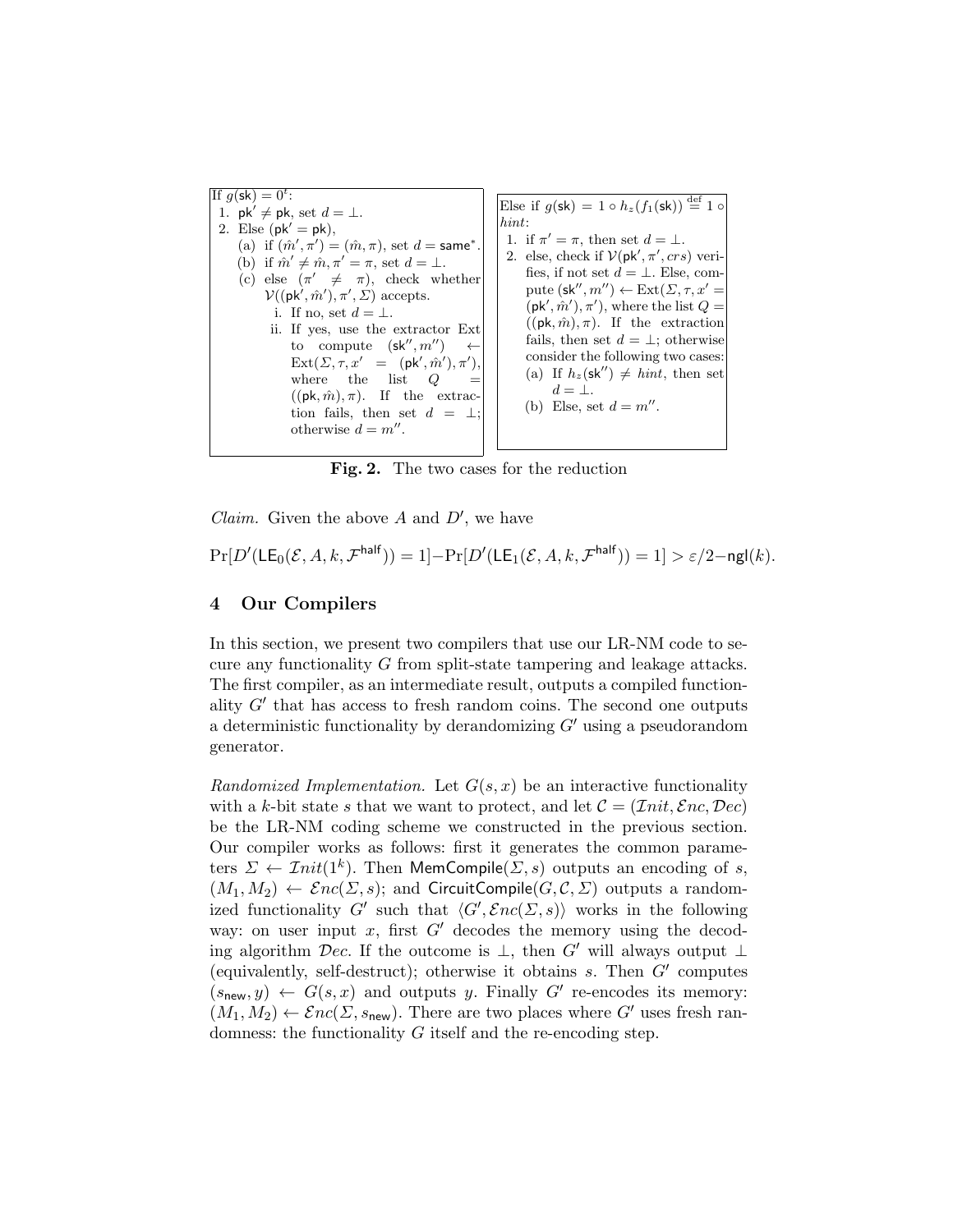If  $g(\mathsf{sk}) = 0^t$ : 1.  $pk' \neq pk$ , set  $d = \bot$ . 2. Else ( $pk' = pk$ ), (a) if  $(\hat{m}', \pi') = (\hat{m}, \pi)$ , set  $d = \text{same}^*$ . (b) if  $\hat{m}' \neq \hat{m}, \pi' = \pi$ , set  $d = \perp$ . (c) else  $(\pi' \neq \pi)$ , check whether  $\mathcal{V}((\mathsf{pk}', \hat{m}'), \pi', \Sigma)$  accepts. i. If no, set  $d = \perp$ . ii. If yes, use the extractor Ext to compute  $(\mathsf{sk}^{\prime\prime}, m^{\prime\prime})$  $\text{Ext}(\Sigma, \tau, x' = (\mathsf{pk}', \hat{m}'), \pi'),$ where the list  $Q$  $((pk, \hat{m}), \pi)$ . If the extraction fails, then set  $d = \perp$ ; otherwise  $d = m''$ . Else if  $g(\mathsf{sk}) = 1 \circ h_z(f_1(\mathsf{sk})) \stackrel{\text{def}}{=} 1 \circ$ hint: 1. if  $\pi' = \pi$ , then set  $d = \bot$ . 2. else, check if  $V(\mathsf{pk}', \pi', crs)$  verifies, if not set  $d = \bot$ . Else, compute  $(\mathsf{sk}'', m'') \leftarrow \text{Ext}(\Sigma, \tau, x' =$  $(\mathsf{pk}', \hat{m}')$ , where the list  $Q =$  $((pk, \hat{m}), \pi)$ . If the extraction fails, then set  $d = \perp$ ; otherwise consider the following two cases: (a) If  $h_z(\mathsf{sk}'') \neq \text{hint}$ , then set  $d=\perp$ . (b) Else, set  $d = m''$ .

<span id="page-13-0"></span>Fig. 2. The two cases for the reduction

*Claim.* Given the above  $A$  and  $D'$ , we have

 $\Pr[D'(\mathsf{LE}_0(\mathcal{E},A,k,\mathcal{F}^\mathsf{half}))=1]-\Pr[D'(\mathsf{LE}_1(\mathcal{E},A,k,\mathcal{F}^\mathsf{half}))=1]>\varepsilon/2-\mathsf{ngl}(k).$ 

#### 4 Our Compilers

In this section, we present two compilers that use our LR-NM code to secure any functionality G from split-state tampering and leakage attacks. The first compiler, as an intermediate result, outputs a compiled functionality  $G'$  that has access to fresh random coins. The second one outputs a deterministic functionality by derandomizing  $G'$  using a pseudorandom generator.

Randomized Implementation. Let  $G(s, x)$  be an interactive functionality with a k-bit state s that we want to protect, and let  $\mathcal{C} = (\mathcal{I}nit, \mathcal{E}nc, \mathcal{D}ec)$ be the LR-NM coding scheme we constructed in the previous section. Our compiler works as follows: first it generates the common parameters  $\Sigma \leftarrow \text{Init}(1^k)$ . Then MemCompile $(\Sigma, s)$  outputs an encoding of s,  $(M_1, M_2) \leftarrow \mathcal{E}nc(\Sigma, s);$  and CircuitCompile( $G, C, \Sigma$ ) outputs a randomized functionality G' such that  $\langle G', \mathcal{E}nc(\Sigma, s) \rangle$  works in the following way: on user input x, first  $G'$  decodes the memory using the decoding algorithm Dec. If the outcome is  $\perp$ , then G' will always output  $\perp$ (equivalently, self-destruct); otherwise it obtains  $s$ . Then  $G'$  computes  $(s_{\text{new}}, y) \leftarrow G(s, x)$  and outputs y. Finally G' re-encodes its memory:  $(M_1, M_2) \leftarrow \mathcal{E}nc(\Sigma, s_{\text{new}})$ . There are two places where G' uses fresh randomness: the functionality G itself and the re-encoding step.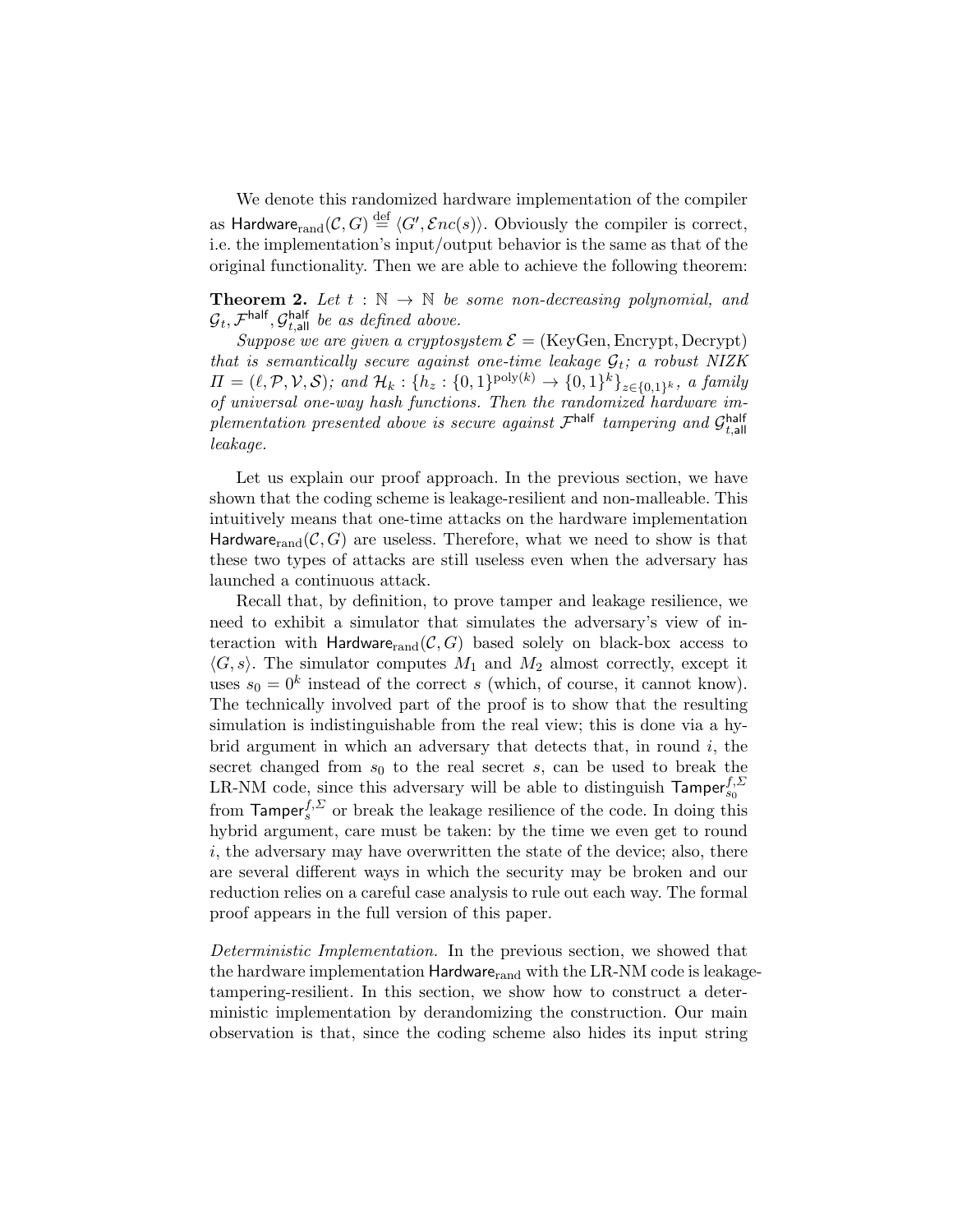We denote this randomized hardware implementation of the compiler as Hardware $_{\rm rand}({\mathcal C}, G) \stackrel{\rm def}{=} \langle G', {\mathcal Enc}(s)\rangle.$  Obviously the compiler is correct, i.e. the implementation's input/output behavior is the same as that of the original functionality. Then we are able to achieve the following theorem:

**Theorem 2.** Let  $t : \mathbb{N} \to \mathbb{N}$  be some non-decreasing polynomial, and  $\mathcal{G}_t$ ,  $\mathcal{F}^{\mathsf{half}}$ ,  $\mathcal{G}^{\mathsf{half}}_{t, \mathsf{all}}$  be as defined above.

Suppose we are given a cryptosystem  $\mathcal{E} =$  (KeyGen, Encrypt, Decrypt) that is semantically secure against one-time leakage  $G_t$ ; a robust NIZK  $\Pi = (\ell, \mathcal{P}, \mathcal{V}, \mathcal{S})$ ; and  $\mathcal{H}_k : \{h_z : \{0,1\}^{\text{poly}(k)} \to \{0,1\}^k\}_{z \in \{0,1\}^k}, \text{ a family }$ of universal one-way hash functions. Then the randomized hardware implementation presented above is secure against  $\mathcal{F}^{\text{half}}$  tampering and  $\mathcal{G}^{\text{half}}_{t,\text{all}}$ leakage.

Let us explain our proof approach. In the previous section, we have shown that the coding scheme is leakage-resilient and non-malleable. This intuitively means that one-time attacks on the hardware implementation Hardware<sub>rand</sub>( $\mathcal{C}, G$ ) are useless. Therefore, what we need to show is that these two types of attacks are still useless even when the adversary has launched a continuous attack.

Recall that, by definition, to prove tamper and leakage resilience, we need to exhibit a simulator that simulates the adversary's view of interaction with Hardware<sub>rand</sub> $(C, G)$  based solely on black-box access to  $\langle G, s \rangle$ . The simulator computes  $M_1$  and  $M_2$  almost correctly, except it uses  $s_0 = 0^k$  instead of the correct s (which, of course, it cannot know). The technically involved part of the proof is to show that the resulting simulation is indistinguishable from the real view; this is done via a hybrid argument in which an adversary that detects that, in round  $i$ , the secret changed from  $s_0$  to the real secret s, can be used to break the LR-NM code, since this adversary will be able to distinguish  $\mathsf{Tamper}_{s_0}^{f,\Sigma}$ from  $\mathsf{Tamper}^{f,\Sigma}_s$  or break the leakage resilience of the code. In doing this hybrid argument, care must be taken: by the time we even get to round  $i$ , the adversary may have overwritten the state of the device; also, there are several different ways in which the security may be broken and our reduction relies on a careful case analysis to rule out each way. The formal proof appears in the full version of this paper.

Deterministic Implementation. In the previous section, we showed that the hardware implementation Hardware<sub>rand</sub> with the LR-NM code is leakagetampering-resilient. In this section, we show how to construct a deterministic implementation by derandomizing the construction. Our main observation is that, since the coding scheme also hides its input string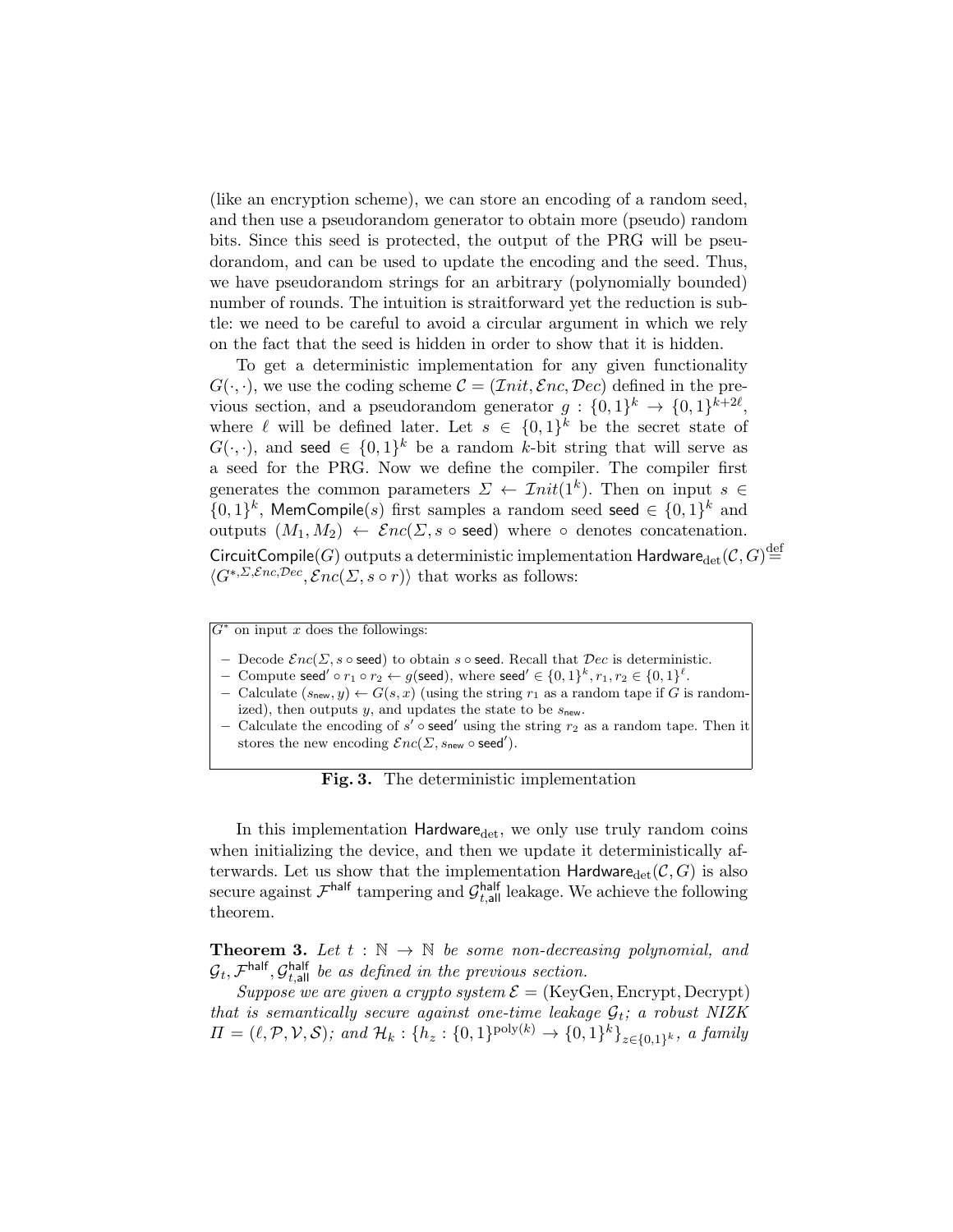(like an encryption scheme), we can store an encoding of a random seed, and then use a pseudorandom generator to obtain more (pseudo) random bits. Since this seed is protected, the output of the PRG will be pseudorandom, and can be used to update the encoding and the seed. Thus, we have pseudorandom strings for an arbitrary (polynomially bounded) number of rounds. The intuition is straitforward yet the reduction is subtle: we need to be careful to avoid a circular argument in which we rely on the fact that the seed is hidden in order to show that it is hidden.

To get a deterministic implementation for any given functionality  $G(\cdot, \cdot)$ , we use the coding scheme  $\mathcal{C} = (\mathcal{I}nit, \mathcal{E}nc, \mathcal{D}ec)$  defined in the previous section, and a pseudorandom generator  $g: \{0,1\}^k \to \{0,1\}^{k+2\ell}$ , where  $\ell$  will be defined later. Let  $s \in \{0,1\}^k$  be the secret state of  $G(\cdot, \cdot)$ , and seed  $\in \{0,1\}^k$  be a random k-bit string that will serve as a seed for the PRG. Now we define the compiler. The compiler first generates the common parameters  $\Sigma \leftarrow \text{Init}(1^k)$ . Then on input  $s \in$  $\{0,1\}^k$ , MemCompile(s) first samples a random seed seed  $\in \{0,1\}^k$  and outputs  $(M_1, M_2) \leftarrow \mathcal{E}nc(\Sigma, s \circ \text{seed})$  where  $\circ$  denotes concatenation. CircuitCompile $(G)$  outputs a deterministic implementation  $\mathsf{Hardware}_{\textrm{det}}(\mathcal{C}, G) {\stackrel{\textrm{def}}{=}}$  $\langle G^{*,\Sigma,\mathcal{E}nc,Dec}, \mathcal{E}nc(\Sigma, s \circ r) \rangle$  that works as follows:

 $G^*$  on input x does the followings:

- Decode  $\mathcal{E}nc(\Sigma, s \circ \text{seed})$  to obtain s  $\circ$  seed. Recall that  $\mathcal{D}ec$  is deterministic.
- − Compute seed'  $\circ$   $r_1 \circ r_2 \leftarrow g$  (seed), where seed'  $\in \{0,1\}^k$ ,  $r_1, r_2 \in \{0,1\}^{\ell}$ .
- Calculate  $(s_{\text{new}}, y) \leftarrow G(s, x)$  (using the string  $r_1$  as a random tape if G is randomized), then outputs  $y$ , and updates the state to be  $s_{\text{new}}$ .
- Calculate the encoding of  $s' \circ$  seed' using the string  $r_2$  as a random tape. Then it stores the new encoding  $\mathcal{E}nc(\Sigma, s_{\text{new}} \circ \text{seed}').$

Fig. 3. The deterministic implementation

In this implementation  $H$ ardware $_{\text{det}}$ , we only use truly random coins when initializing the device, and then we update it deterministically afterwards. Let us show that the implementation  $\textsf{Hardware}_{\text{det}}(\mathcal{C}, G)$  is also secure against  $\mathcal{F}^{\text{half}}$  tampering and  $\mathcal{G}^{\text{half}}_{t,\text{all}}$  leakage. We achieve the following theorem.

**Theorem 3.** Let  $t : \mathbb{N} \to \mathbb{N}$  be some non-decreasing polynomial, and  $\mathcal{G}_t$ ,  $\mathcal{F}^{\text{half}}$ ,  $\mathcal{G}^{\text{half}}_{t,\text{all}}$  be as defined in the previous section.

Suppose we are given a crypto system  $\mathcal{E} =$  (KeyGen, Encrypt, Decrypt) that is semantically secure against one-time leakage  $\mathcal{G}_t$ ; a robust NIZK  $\Pi = (\ell, \mathcal{P}, \mathcal{V}, \mathcal{S})$ ; and  $\mathcal{H}_k : \{h_z : \{0,1\}^{\text{poly}(k)} \to \{0,1\}^k\}_{z \in \{0,1\}^k}, \text{ a family }$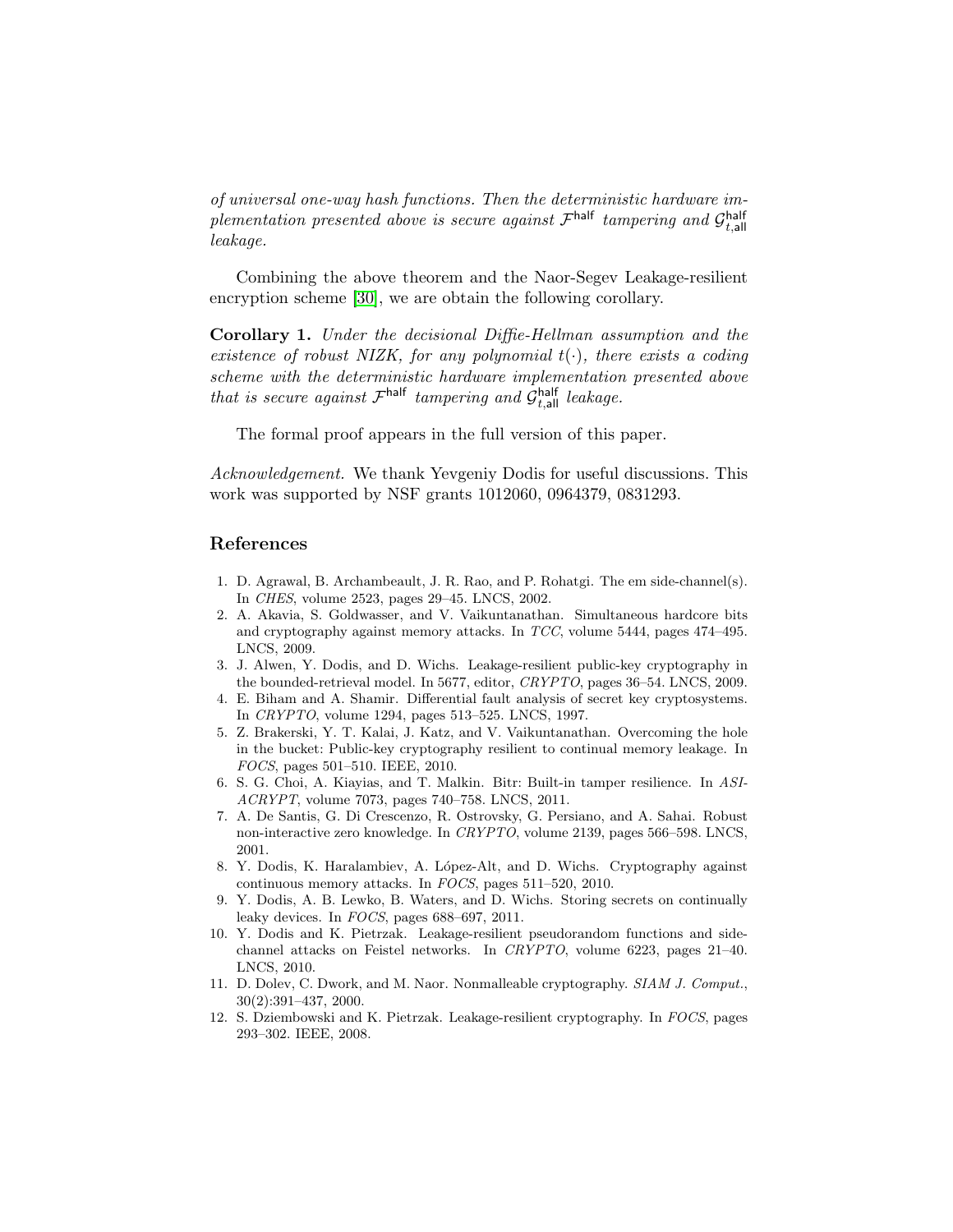of universal one-way hash functions. Then the deterministic hardware implementation presented above is secure against  $\mathcal{F}^{\text{half}}$  tampering and  $\mathcal{G}^{\text{half}}_{t,\text{all}}$ leakage.

Combining the above theorem and the Naor-Segev Leakage-resilient encryption scheme [\[30\]](#page-17-7), we are obtain the following corollary.

Corollary 1. Under the decisional Diffie-Hellman assumption and the existence of robust NIZK, for any polynomial  $t(\cdot)$ , there exists a coding scheme with the deterministic hardware implementation presented above that is secure against  $\mathcal{F}^{\text{half}}$  tampering and  $\mathcal{G}^{\text{half}}_{t, \text{all}}$  leakage.

The formal proof appears in the full version of this paper.

Acknowledgement. We thank Yevgeniy Dodis for useful discussions. This work was supported by NSF grants 1012060, 0964379, 0831293.

### References

- <span id="page-16-1"></span>1. D. Agrawal, B. Archambeault, J. R. Rao, and P. Rohatgi. The em side-channel(s). In CHES, volume 2523, pages 29–45. LNCS, 2002.
- <span id="page-16-4"></span>2. A. Akavia, S. Goldwasser, and V. Vaikuntanathan. Simultaneous hardcore bits and cryptography against memory attacks. In TCC, volume 5444, pages 474–495. LNCS, 2009.
- <span id="page-16-5"></span>3. J. Alwen, Y. Dodis, and D. Wichs. Leakage-resilient public-key cryptography in the bounded-retrieval model. In 5677, editor, CRYPTO, pages 36–54. LNCS, 2009.
- <span id="page-16-0"></span>4. E. Biham and A. Shamir. Differential fault analysis of secret key cryptosystems. In CRYPTO, volume 1294, pages 513–525. LNCS, 1997.
- <span id="page-16-2"></span>5. Z. Brakerski, Y. T. Kalai, J. Katz, and V. Vaikuntanathan. Overcoming the hole in the bucket: Public-key cryptography resilient to continual memory leakage. In FOCS, pages 501–510. IEEE, 2010.
- <span id="page-16-6"></span>6. S. G. Choi, A. Kiayias, and T. Malkin. Bitr: Built-in tamper resilience. In ASI-ACRYPT, volume 7073, pages 740–758. LNCS, 2011.
- <span id="page-16-9"></span>7. A. De Santis, G. Di Crescenzo, R. Ostrovsky, G. Persiano, and A. Sahai. Robust non-interactive zero knowledge. In CRYPTO, volume 2139, pages 566–598. LNCS, 2001.
- <span id="page-16-3"></span>8. Y. Dodis, K. Haralambiev, A. López-Alt, and D. Wichs. Cryptography against continuous memory attacks. In FOCS, pages 511–520, 2010.
- <span id="page-16-8"></span>9. Y. Dodis, A. B. Lewko, B. Waters, and D. Wichs. Storing secrets on continually leaky devices. In FOCS, pages 688–697, 2011.
- <span id="page-16-10"></span>10. Y. Dodis and K. Pietrzak. Leakage-resilient pseudorandom functions and sidechannel attacks on Feistel networks. In CRYPTO, volume 6223, pages 21–40. LNCS, 2010.
- <span id="page-16-11"></span>11. D. Dolev, C. Dwork, and M. Naor. Nonmalleable cryptography. SIAM J. Comput., 30(2):391–437, 2000.
- <span id="page-16-7"></span>12. S. Dziembowski and K. Pietrzak. Leakage-resilient cryptography. In FOCS, pages 293–302. IEEE, 2008.